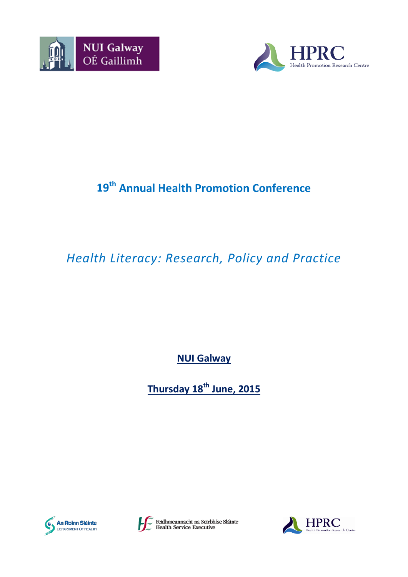



# **19th Annual Health Promotion Conference**

# *Health Literacy: Research, Policy and Practice*

**NUI Galway**

**Thursday 18th June, 2015**





Feidhmeannacht na Seirbhíse Sláinte<br>Health Service Executive

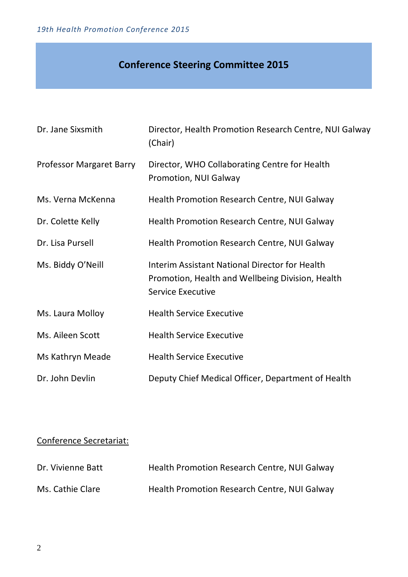# **Conference Steering Committee 2015**

| Dr. Jane Sixsmith               | Director, Health Promotion Research Centre, NUI Galway<br>(Chair)                                                                     |
|---------------------------------|---------------------------------------------------------------------------------------------------------------------------------------|
| <b>Professor Margaret Barry</b> | Director, WHO Collaborating Centre for Health<br>Promotion, NUI Galway                                                                |
| Ms. Verna McKenna               | <b>Health Promotion Research Centre, NUI Galway</b>                                                                                   |
| Dr. Colette Kelly               | Health Promotion Research Centre, NUI Galway                                                                                          |
| Dr. Lisa Pursell                | <b>Health Promotion Research Centre, NUI Galway</b>                                                                                   |
| Ms. Biddy O'Neill               | <b>Interim Assistant National Director for Health</b><br>Promotion, Health and Wellbeing Division, Health<br><b>Service Executive</b> |
| Ms. Laura Molloy                | <b>Health Service Executive</b>                                                                                                       |
| Ms. Aileen Scott                | <b>Health Service Executive</b>                                                                                                       |
| Ms Kathryn Meade                | <b>Health Service Executive</b>                                                                                                       |
| Dr. John Devlin                 | Deputy Chief Medical Officer, Department of Health                                                                                    |

# Conference Secretariat:

| Dr. Vivienne Batt | Health Promotion Research Centre, NUI Galway |
|-------------------|----------------------------------------------|
| Ms. Cathie Clare  | Health Promotion Research Centre, NUI Galway |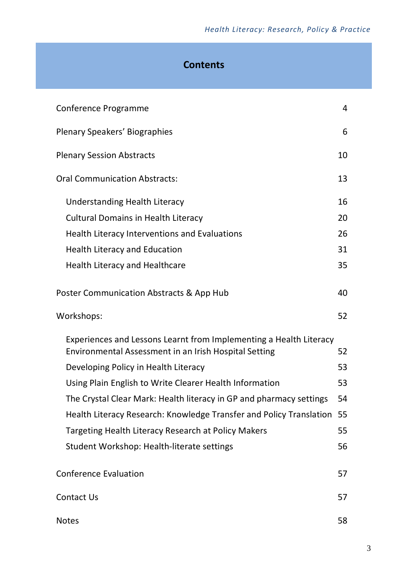# **Contents**

| Conference Programme                                                                                                        |    |  |
|-----------------------------------------------------------------------------------------------------------------------------|----|--|
| Plenary Speakers' Biographies                                                                                               |    |  |
| <b>Plenary Session Abstracts</b>                                                                                            | 10 |  |
| <b>Oral Communication Abstracts:</b>                                                                                        |    |  |
| Understanding Health Literacy                                                                                               | 16 |  |
| <b>Cultural Domains in Health Literacy</b>                                                                                  | 20 |  |
| <b>Health Literacy Interventions and Evaluations</b>                                                                        | 26 |  |
| <b>Health Literacy and Education</b>                                                                                        | 31 |  |
| <b>Health Literacy and Healthcare</b>                                                                                       | 35 |  |
| Poster Communication Abstracts & App Hub<br>40                                                                              |    |  |
| Workshops:                                                                                                                  | 52 |  |
| Experiences and Lessons Learnt from Implementing a Health Literacy<br>Environmental Assessment in an Irish Hospital Setting | 52 |  |
| Developing Policy in Health Literacy                                                                                        | 53 |  |
| Using Plain English to Write Clearer Health Information                                                                     | 53 |  |
| The Crystal Clear Mark: Health literacy in GP and pharmacy settings                                                         | 54 |  |
| Health Literacy Research: Knowledge Transfer and Policy Translation                                                         | 55 |  |
| Targeting Health Literacy Research at Policy Makers<br>55                                                                   |    |  |
| Student Workshop: Health-literate settings                                                                                  | 56 |  |
| <b>Conference Evaluation</b>                                                                                                | 57 |  |
| <b>Contact Us</b>                                                                                                           |    |  |
| <b>Notes</b>                                                                                                                | 58 |  |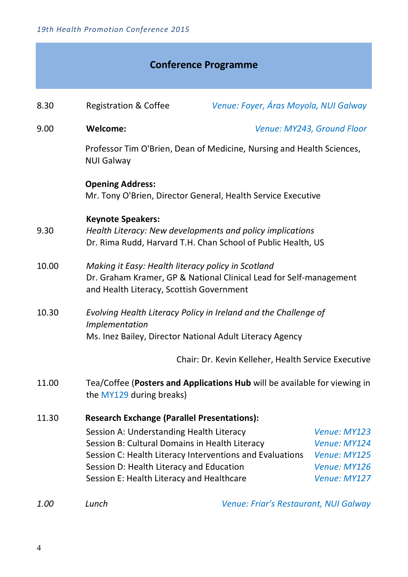|       |                                                                                                                                                                                     | <b>Conference Programme</b>                                                                                                 |                                                                              |
|-------|-------------------------------------------------------------------------------------------------------------------------------------------------------------------------------------|-----------------------------------------------------------------------------------------------------------------------------|------------------------------------------------------------------------------|
| 8.30  | <b>Registration &amp; Coffee</b>                                                                                                                                                    | Venue: Foyer, Áras Moyola, NUI Galway                                                                                       |                                                                              |
| 9.00  | <b>Welcome:</b>                                                                                                                                                                     |                                                                                                                             | Venue: MY243, Ground Floor                                                   |
|       | <b>NUI Galway</b>                                                                                                                                                                   | Professor Tim O'Brien, Dean of Medicine, Nursing and Health Sciences,                                                       |                                                                              |
|       | <b>Opening Address:</b>                                                                                                                                                             | Mr. Tony O'Brien, Director General, Health Service Executive                                                                |                                                                              |
| 9.30  | <b>Keynote Speakers:</b>                                                                                                                                                            | Health Literacy: New developments and policy implications<br>Dr. Rima Rudd, Harvard T.H. Chan School of Public Health, US   |                                                                              |
| 10.00 | Making it Easy: Health literacy policy in Scotland<br>and Health Literacy, Scottish Government                                                                                      | Dr. Graham Kramer, GP & National Clinical Lead for Self-management                                                          |                                                                              |
| 10.30 | Implementation                                                                                                                                                                      | Evolving Health Literacy Policy in Ireland and the Challenge of<br>Ms. Inez Bailey, Director National Adult Literacy Agency |                                                                              |
|       |                                                                                                                                                                                     | Chair: Dr. Kevin Kelleher, Health Service Executive                                                                         |                                                                              |
| 11.00 | the MY129 during breaks)                                                                                                                                                            | Tea/Coffee (Posters and Applications Hub will be available for viewing in                                                   |                                                                              |
| 11.30 | <b>Research Exchange (Parallel Presentations):</b>                                                                                                                                  |                                                                                                                             |                                                                              |
|       | Session A: Understanding Health Literacy<br>Session B: Cultural Domains in Health Literacy<br>Session D: Health Literacy and Education<br>Session E: Health Literacy and Healthcare | Session C: Health Literacy Interventions and Evaluations                                                                    | Venue: MY123<br>Venue: MY124<br>Venue: MY125<br>Venue: MY126<br>Venue: MY127 |
|       |                                                                                                                                                                                     |                                                                                                                             |                                                                              |

*1.00 Lunch Venue: Friar's Restaurant, NUI Galway*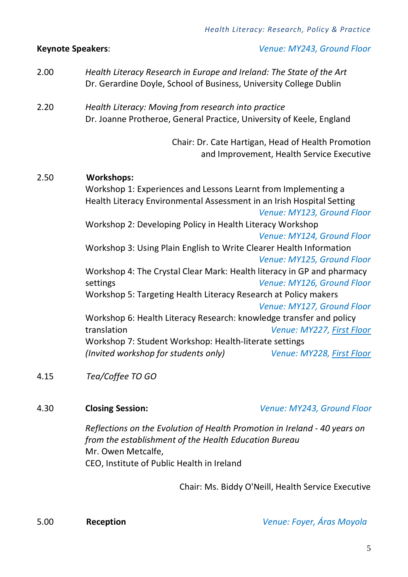- 2.00 *Health Literacy Research in Europe and Ireland: The State of the Art* Dr. Gerardine Doyle, School of Business, University College Dublin
- 2.20 *Health Literacy: Moving from research into practice* Dr. Joanne Protheroe, General Practice, University of Keele, England

Chair: Dr. Cate Hartigan, Head of Health Promotion and Improvement, Health Service Executive

### 2.50 **Workshops:**

Workshop 1: Experiences and Lessons Learnt from Implementing a Health Literacy Environmental Assessment in an Irish Hospital Setting *Venue: MY123, Ground Floor* Workshop 2: Developing Policy in Health Literacy Workshop *Venue: MY124, Ground Floor* Workshop 3: Using Plain English to Write Clearer Health Information *Venue: MY125, Ground Floor* Workshop 4: The Crystal Clear Mark: Health literacy in GP and pharmacy settings *Venue: MY126, Ground Floor* Workshop 5: Targeting Health Literacy Research at Policy makers *Venue: MY127, Ground Floor* Workshop 6: Health Literacy Research: knowledge transfer and policy translation *Venue: MY227, First Floor* Workshop 7: Student Workshop: Health-literate settings *(Invited workshop for students only) Venue: MY228, First Floor*

4.15 *Tea/Coffee TO GO* 

4.30 **Closing Session:** *Venue: MY243, Ground Floor*

*Reflections on the Evolution of Health Promotion in Ireland - 40 years on from the establishment of the Health Education Bureau* Mr. Owen Metcalfe, CEO, Institute of Public Health in Ireland

Chair: Ms. Biddy O'Neill, Health Service Executive

5.00 **Reception** *Venue: Foyer, Áras Moyola*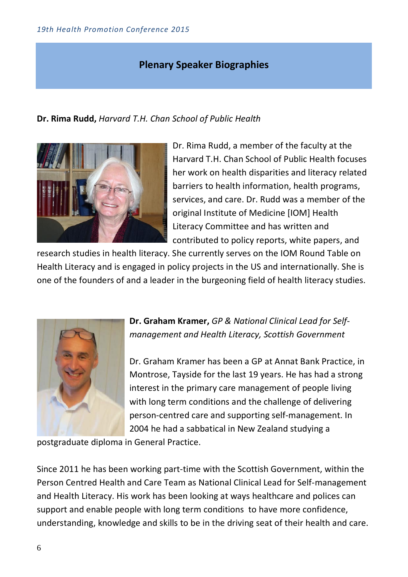# **Plenary Speaker Biographies**

**Dr. Rima Rudd,** *Harvard T.H. Chan School of Public Health*



Dr. Rima Rudd, a member of the faculty at the Harvard T.H. Chan School of Public Health focuses her work on health disparities and literacy related barriers to health information, health programs, services, and care. Dr. Rudd was a member of the original Institute of Medicine [IOM] Health Literacy Committee and has written and contributed to policy reports, white papers, and

research studies in health literacy. She currently serves on the IOM Round Table on Health Literacy and is engaged in policy projects in the US and internationally. She is one of the founders of and a leader in the burgeoning field of health literacy studies.



**Dr. Graham Kramer,** *GP & National Clinical Lead for Selfmanagement and Health Literacy, Scottish Government*

Dr. Graham Kramer has been a GP at Annat Bank Practice, in Montrose, Tayside for the last 19 years. He has had a strong interest in the primary care management of people living with long term conditions and the challenge of delivering person-centred care and supporting self-management. In 2004 he had a sabbatical in New Zealand studying a

postgraduate diploma in General Practice.

Since 2011 he has been working part-time with the Scottish Government, within the Person Centred Health and Care Team as National Clinical Lead for Self-management and Health Literacy. His work has been looking at ways healthcare and polices can support and enable people with long term conditions to have more confidence, understanding, knowledge and skills to be in the driving seat of their health and care.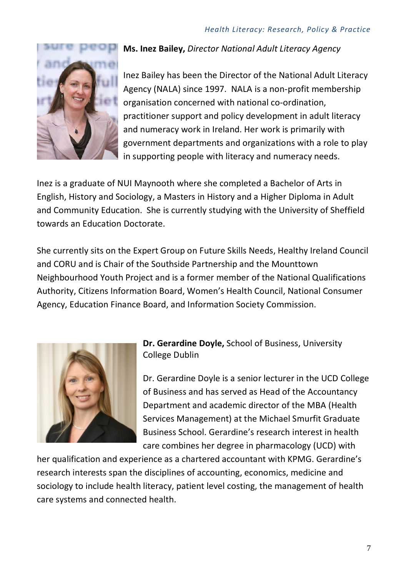

**Ms. Inez Bailey,** *Director National Adult Literacy Agency*

Inez Bailey has been the Director of the National Adult Literacy Agency (NALA) since 1997. NALA is a non-profit membership organisation concerned with national co-ordination, practitioner support and policy development in adult literacy and numeracy work in Ireland. Her work is primarily with government departments and organizations with a role to play in supporting people with literacy and numeracy needs.

Inez is a graduate of NUI Maynooth where she completed a Bachelor of Arts in English, History and Sociology, a Masters in History and a Higher Diploma in Adult and Community Education. She is currently studying with the University of Sheffield towards an Education Doctorate.

She currently sits on the Expert Group on Future Skills Needs, Healthy Ireland Council and CORU and is Chair of the Southside Partnership and the Mounttown Neighbourhood Youth Project and is a former member of the National Qualifications Authority, Citizens Information Board, Women's Health Council, National Consumer Agency, Education Finance Board, and Information Society Commission.



**Dr. Gerardine Doyle,** School of Business, University College Dublin

Dr. Gerardine Doyle is a senior lecturer in the UCD College of Business and has served as Head of the Accountancy Department and academic director of the MBA (Health Services Management) at the Michael Smurfit Graduate Business School. Gerardine's research interest in health care combines her degree in pharmacology (UCD) with

her qualification and experience as a chartered accountant with KPMG. Gerardine's research interests span the disciplines of accounting, economics, medicine and sociology to include health literacy, patient level costing, the management of health care systems and connected health.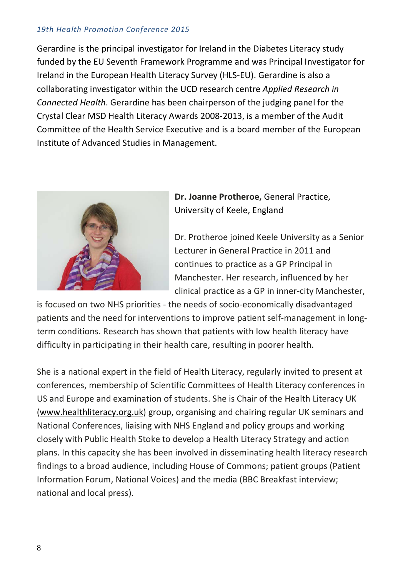Gerardine is the principal investigator for Ireland in the Diabetes Literacy study funded by the EU Seventh Framework Programme and was Principal Investigator for Ireland in the European Health Literacy Survey (HLS-EU). Gerardine is also a collaborating investigator within the UCD research centre *Applied Research in Connected Health*. Gerardine has been chairperson of the judging panel for the Crystal Clear MSD Health Literacy Awards 2008-2013, is a member of the Audit Committee of the Health Service Executive and is a board member of the European Institute of Advanced Studies in Management.



**Dr. Joanne Protheroe,** General Practice, University of Keele, England

Dr. Protheroe joined Keele University as a Senior Lecturer in General Practice in 2011 and continues to practice as a GP Principal in Manchester. Her research, influenced by her clinical practice as a GP in inner-city Manchester,

is focused on two NHS priorities - the needs of socio-economically disadvantaged patients and the need for interventions to improve patient self-management in longterm conditions. Research has shown that patients with low health literacy have difficulty in participating in their health care, resulting in poorer health.

She is a national expert in the field of Health Literacy, regularly invited to present at conferences, membership of Scientific Committees of Health Literacy conferences in US and Europe and examination of students. She is Chair of the Health Literacy UK [\(www.healthliteracy.org.uk\)](http://www.healthliteracy.org.uk/) group, organising and chairing regular UK seminars and National Conferences, liaising with NHS England and policy groups and working closely with Public Health Stoke to develop a Health Literacy Strategy and action plans. In this capacity she has been involved in disseminating health literacy research findings to a broad audience, including House of Commons; patient groups (Patient Information Forum, National Voices) and the media (BBC Breakfast interview; national and local press).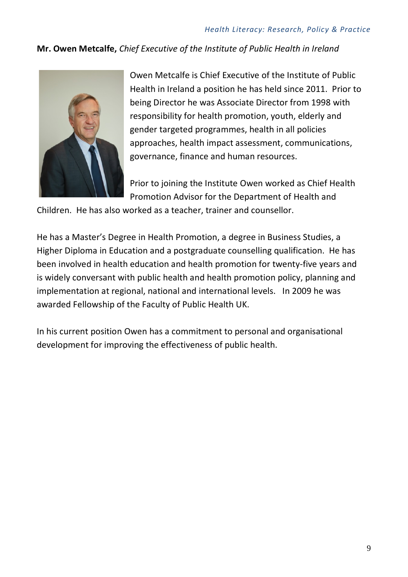# **Mr. Owen Metcalfe,** *Chief Executive of the Institute of Public Health in Ireland*



Owen Metcalfe is Chief Executive of the Institute of Public Health in Ireland a position he has held since 2011. Prior to being Director he was Associate Director from 1998 with responsibility for health promotion, youth, elderly and gender targeted programmes, health in all policies approaches, health impact assessment, communications, governance, finance and human resources.

Prior to joining the Institute Owen worked as Chief Health Promotion Advisor for the Department of Health and

Children. He has also worked as a teacher, trainer and counsellor.

He has a Master's Degree in Health Promotion, a degree in Business Studies, a Higher Diploma in Education and a postgraduate counselling qualification. He has been involved in health education and health promotion for twenty-five years and is widely conversant with public health and health promotion policy, planning and implementation at regional, national and international levels. In 2009 he was awarded Fellowship of the Faculty of Public Health UK.

In his current position Owen has a commitment to personal and organisational development for improving the effectiveness of public health.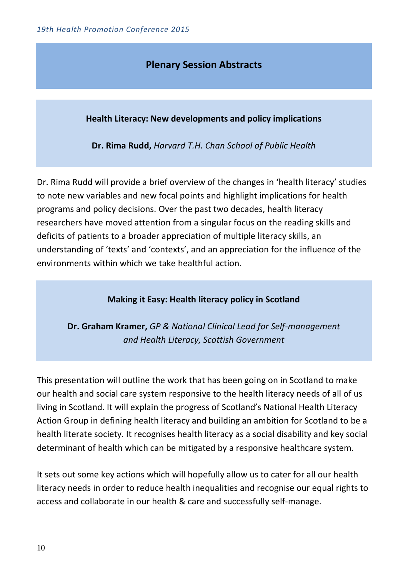# **Plenary Session Abstracts**

**Health Literacy: New developments and policy implications**

**Dr. Rima Rudd,** *Harvard T.H. Chan School of Public Health*

Dr. Rima Rudd will provide a brief overview of the changes in 'health literacy' studies to note new variables and new focal points and highlight implications for health programs and policy decisions. Over the past two decades, health literacy researchers have moved attention from a singular focus on the reading skills and deficits of patients to a broader appreciation of multiple literacy skills, an understanding of 'texts' and 'contexts', and an appreciation for the influence of the environments within which we take healthful action.

### **Making it Easy: Health literacy policy in Scotland**

**Dr. Graham Kramer,** *GP & National Clinical Lead for Self-management and Health Literacy, Scottish Government*

This presentation will outline the work that has been going on in Scotland to make our health and social care system responsive to the health literacy needs of all of us living in Scotland. It will explain the progress of Scotland's National Health Literacy Action Group in defining health literacy and building an ambition for Scotland to be a health literate society. It recognises health literacy as a social disability and key social determinant of health which can be mitigated by a responsive healthcare system.

It sets out some key actions which will hopefully allow us to cater for all our health literacy needs in order to reduce health inequalities and recognise our equal rights to access and collaborate in our health & care and successfully self-manage.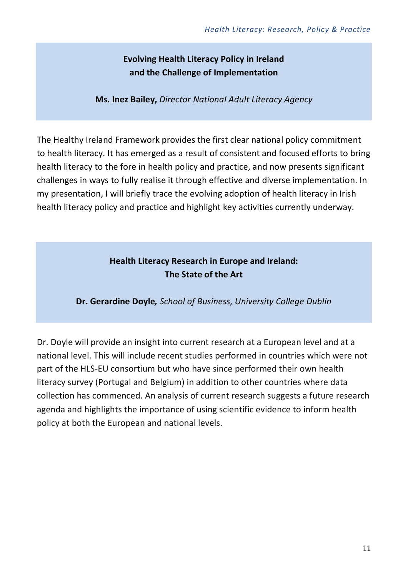# **Evolving Health Literacy Policy in Ireland and the Challenge of Implementation**

**Ms. Inez Bailey,** *Director National Adult Literacy Agency*

The Healthy Ireland Framework provides the first clear national policy commitment to health literacy. It has emerged as a result of consistent and focused efforts to bring health literacy to the fore in health policy and practice, and now presents significant challenges in ways to fully realise it through effective and diverse implementation. In my presentation, I will briefly trace the evolving adoption of health literacy in Irish health literacy policy and practice and highlight key activities currently underway.

# **Health Literacy Research in Europe and Ireland: The State of the Art**

**Dr. Gerardine Doyle***, School of Business, University College Dublin*

Dr. Doyle will provide an insight into current research at a European level and at a national level. This will include recent studies performed in countries which were not part of the HLS-EU consortium but who have since performed their own health literacy survey (Portugal and Belgium) in addition to other countries where data collection has commenced. An analysis of current research suggests a future research agenda and highlights the importance of using scientific evidence to inform health policy at both the European and national levels.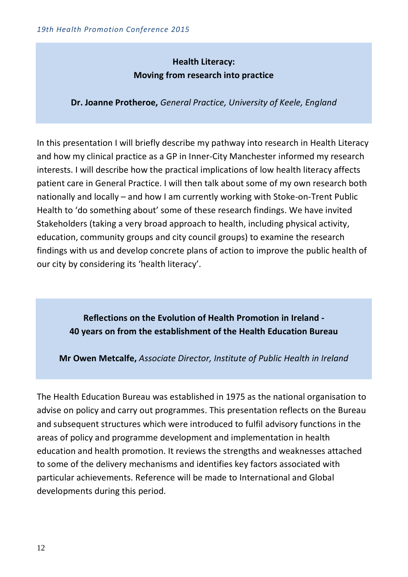# **Health Literacy: Moving from research into practice**

**Dr. Joanne Protheroe,** *General Practice, University of Keele, England*

In this presentation I will briefly describe my pathway into research in Health Literacy and how my clinical practice as a GP in Inner-City Manchester informed my research interests. I will describe how the practical implications of low health literacy affects patient care in General Practice. I will then talk about some of my own research both nationally and locally – and how I am currently working with Stoke-on-Trent Public Health to 'do something about' some of these research findings. We have invited Stakeholders (taking a very broad approach to health, including physical activity, education, community groups and city council groups) to examine the research findings with us and develop concrete plans of action to improve the public health of our city by considering its 'health literacy'.

**Reflections on the Evolution of Health Promotion in Ireland - 40 years on from the establishment of the Health Education Bureau**

**Mr Owen Metcalfe,** *Associate Director, Institute of Public Health in Ireland*

The Health Education Bureau was established in 1975 as the national organisation to advise on policy and carry out programmes. This presentation reflects on the Bureau and subsequent structures which were introduced to fulfil advisory functions in the areas of policy and programme development and implementation in health education and health promotion. It reviews the strengths and weaknesses attached to some of the delivery mechanisms and identifies key factors associated with particular achievements. Reference will be made to International and Global developments during this period.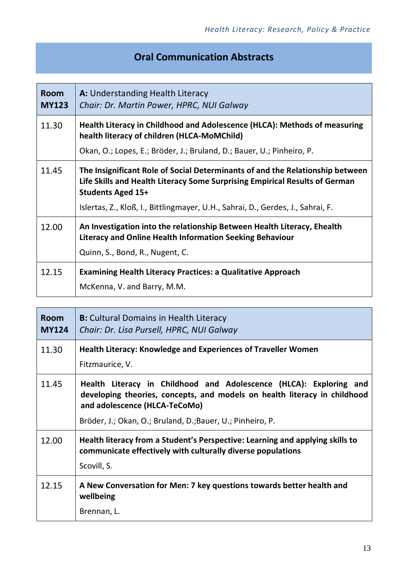# **Oral Communication Abstracts**

| <b>Room</b><br><b>MY123</b> | <b>A:</b> Understanding Health Literacy<br>Chair: Dr. Martin Power, HPRC, NUI Galway                                                                                                                                                                                        |
|-----------------------------|-----------------------------------------------------------------------------------------------------------------------------------------------------------------------------------------------------------------------------------------------------------------------------|
| 11.30                       | Health Literacy in Childhood and Adolescence (HLCA): Methods of measuring<br>health literacy of children (HLCA-MoMChild)                                                                                                                                                    |
|                             | Okan, O.; Lopes, E.; Bröder, J.; Bruland, D.; Bauer, U.; Pinheiro, P.                                                                                                                                                                                                       |
| 11.45                       | The Insignificant Role of Social Determinants of and the Relationship between<br>Life Skills and Health Literacy Some Surprising Empirical Results of German<br><b>Students Aged 15+</b><br>Islertas, Z., Kloß, I., Bittlingmayer, U.H., Sahrai, D., Gerdes, J., Sahrai, F. |
| 12.00                       | An Investigation into the relationship Between Health Literacy, Ehealth<br>Literacy and Online Health Information Seeking Behaviour<br>Quinn, S., Bond, R., Nugent, C.                                                                                                      |
| 12.15                       | <b>Examining Health Literacy Practices: a Qualitative Approach</b><br>McKenna, V. and Barry, M.M.                                                                                                                                                                           |

| <b>Room</b><br><b>MY124</b> | <b>B:</b> Cultural Domains in Health Literacy<br>Chair: Dr. Lisa Pursell, HPRC, NUI Galway                                                                                       |
|-----------------------------|----------------------------------------------------------------------------------------------------------------------------------------------------------------------------------|
| 11.30                       | <b>Health Literacy: Knowledge and Experiences of Traveller Women</b><br>Fitzmaurice, V.                                                                                          |
| 11.45                       | Health Literacy in Childhood and Adolescence (HLCA): Exploring and<br>developing theories, concepts, and models on health literacy in childhood<br>and adolescence (HLCA-TeCoMo) |
|                             | Bröder, J.; Okan, O.; Bruland, D.; Bauer, U.; Pinheiro, P.                                                                                                                       |
| 12.00                       | Health literacy from a Student's Perspective: Learning and applying skills to<br>communicate effectively with culturally diverse populations<br>Scovill, S.                      |
| 12.15                       | A New Conversation for Men: 7 key questions towards better health and<br>wellbeing<br>Brennan, L.                                                                                |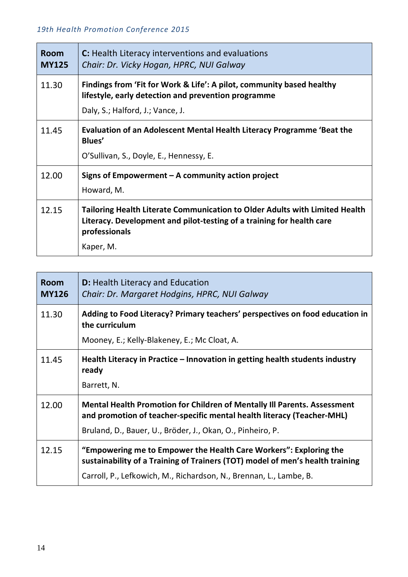| <b>Room</b><br><b>MY125</b> | C: Health Literacy interventions and evaluations<br>Chair: Dr. Vicky Hogan, HPRC, NUI Galway                                                                                       |
|-----------------------------|------------------------------------------------------------------------------------------------------------------------------------------------------------------------------------|
| 11.30                       | Findings from 'Fit for Work & Life': A pilot, community based healthy<br>lifestyle, early detection and prevention programme<br>Daly, S.; Halford, J.; Vance, J.                   |
| 11.45                       | Evaluation of an Adolescent Mental Health Literacy Programme 'Beat the<br>Blues'<br>O'Sullivan, S., Doyle, E., Hennessy, E.                                                        |
| 12.00                       | Signs of Empowerment $-$ A community action project<br>Howard, M.                                                                                                                  |
| 12.15                       | Tailoring Health Literate Communication to Older Adults with Limited Health<br>Literacy. Development and pilot-testing of a training for health care<br>professionals<br>Kaper, M. |

| Room<br><b>MY126</b> | <b>D:</b> Health Literacy and Education<br>Chair: Dr. Margaret Hodgins, HPRC, NUI Galway                                                                  |
|----------------------|-----------------------------------------------------------------------------------------------------------------------------------------------------------|
| 11.30                | Adding to Food Literacy? Primary teachers' perspectives on food education in<br>the curriculum<br>Mooney, E.; Kelly-Blakeney, E.; Mc Cloat, A.            |
|                      |                                                                                                                                                           |
| 11.45                | Health Literacy in Practice – Innovation in getting health students industry<br>ready                                                                     |
|                      | Barrett, N.                                                                                                                                               |
| 12.00                | <b>Mental Health Promotion for Children of Mentally III Parents. Assessment</b><br>and promotion of teacher-specific mental health literacy (Teacher-MHL) |
|                      | Bruland, D., Bauer, U., Bröder, J., Okan, O., Pinheiro, P.                                                                                                |
| 12.15                | "Empowering me to Empower the Health Care Workers": Exploring the<br>sustainability of a Training of Trainers (TOT) model of men's health training        |
|                      | Carroll, P., Lefkowich, M., Richardson, N., Brennan, L., Lambe, B.                                                                                        |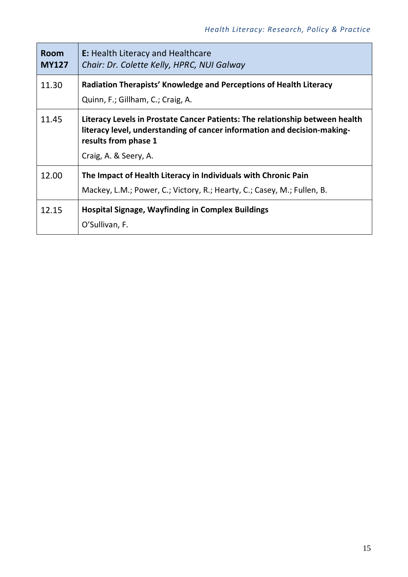| <b>Room</b><br><b>MY127</b> | <b>E:</b> Health Literacy and Healthcare<br>Chair: Dr. Colette Kelly, HPRC, NUI Galway                                                                                                                    |
|-----------------------------|-----------------------------------------------------------------------------------------------------------------------------------------------------------------------------------------------------------|
| 11.30                       | Radiation Therapists' Knowledge and Perceptions of Health Literacy<br>Quinn, F.; Gillham, C.; Craig, A.                                                                                                   |
| 11.45                       | Literacy Levels in Prostate Cancer Patients: The relationship between health<br>literacy level, understanding of cancer information and decision-making-<br>results from phase 1<br>Craig, A. & Seery, A. |
| 12.00                       | The Impact of Health Literacy in Individuals with Chronic Pain<br>Mackey, L.M.; Power, C.; Victory, R.; Hearty, C.; Casey, M.; Fullen, B.                                                                 |
| 12.15                       | <b>Hospital Signage, Wayfinding in Complex Buildings</b><br>O'Sullivan, F.                                                                                                                                |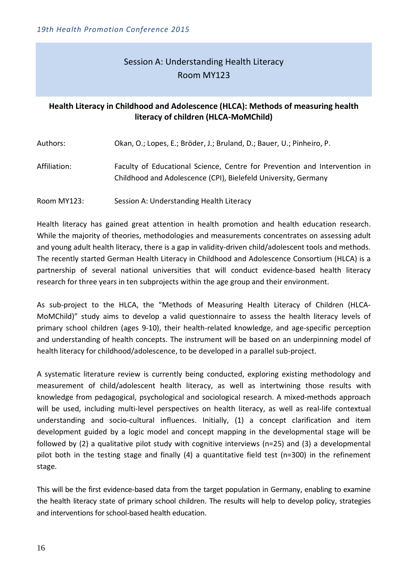# Session A: Understanding Health Literacy Room MY123

#### **Health Literacy in Childhood and Adolescence (HLCA): Methods of measuring health literacy of children (HLCA-MoMChild)**

| Authors:     | Okan, O.; Lopes, E.; Bröder, J.; Bruland, D.; Bauer, U.; Pinheiro, P.                                                                       |
|--------------|---------------------------------------------------------------------------------------------------------------------------------------------|
| Affiliation: | Faculty of Educational Science, Centre for Prevention and Intervention in<br>Childhood and Adolescence (CPI), Bielefeld University, Germany |

Room MY123: Session A: Understanding Health Literacy

Health literacy has gained great attention in health promotion and health education research. While the majority of theories, methodologies and measurements concentrates on assessing adult and young adult health literacy, there is a gap in validity-driven child/adolescent tools and methods. The recently started German Health Literacy in Childhood and Adolescence Consortium (HLCA) is a partnership of several national universities that will conduct evidence-based health literacy research for three years in ten subprojects within the age group and their environment.

As sub-project to the HLCA, the "Methods of Measuring Health Literacy of Children (HLCA-MoMChild)" study aims to develop a valid questionnaire to assess the health literacy levels of primary school children (ages 9-10), their health-related knowledge, and age-specific perception and understanding of health concepts. The instrument will be based on an underpinning model of health literacy for childhood/adolescence, to be developed in a parallel sub-project.

A systematic literature review is currently being conducted, exploring existing methodology and measurement of child/adolescent health literacy, as well as intertwining those results with knowledge from pedagogical, psychological and sociological research. A mixed-methods approach will be used, including multi-level perspectives on health literacy, as well as real-life contextual understanding and socio-cultural influences. Initially, (1) a concept clarification and item development guided by a logic model and concept mapping in the developmental stage will be followed by (2) a qualitative pilot study with cognitive interviews (n=25) and (3) a developmental pilot both in the testing stage and finally (4) a quantitative field test (n=300) in the refinement stage.

This will be the first evidence-based data from the target population in Germany, enabling to examine the health literacy state of primary school children. The results will help to develop policy, strategies and interventions for school-based health education.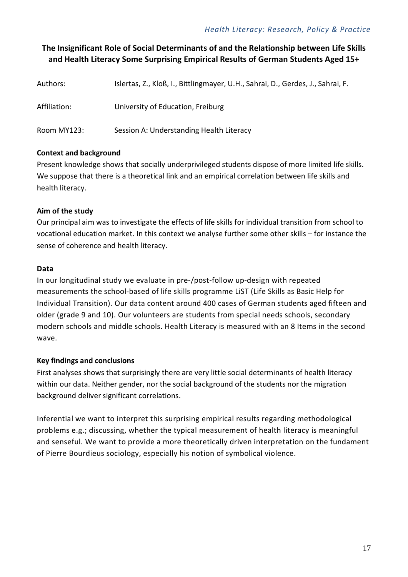## **The Insignificant Role of Social Determinants of and the Relationship between Life Skills and Health Literacy Some Surprising Empirical Results of German Students Aged 15+**

| Authors:     | Islertas, Z., Kloß, I., Bittlingmayer, U.H., Sahrai, D., Gerdes, J., Sahrai, F. |
|--------------|---------------------------------------------------------------------------------|
| Affiliation: | University of Education, Freiburg                                               |
| Room MY123:  | Session A: Understanding Health Literacy                                        |

#### **Context and background**

Present knowledge shows that socially underprivileged students dispose of more limited life skills. We suppose that there is a theoretical link and an empirical correlation between life skills and health literacy.

#### **Aim of the study**

Our principal aim was to investigate the effects of life skills for individual transition from school to vocational education market. In this context we analyse further some other skills – for instance the sense of coherence and health literacy.

#### **Data**

In our longitudinal study we evaluate in pre-/post-follow up-design with repeated measurements the school-based of life skills programme LiST (Life Skills as Basic Help for Individual Transition). Our data content around 400 cases of German students aged fifteen and older (grade 9 and 10). Our volunteers are students from special needs schools, secondary modern schools and middle schools. Health Literacy is measured with an 8 Items in the second wave.

#### **Key findings and conclusions**

First analyses shows that surprisingly there are very little social determinants of health literacy within our data. Neither gender, nor the social background of the students nor the migration background deliver significant correlations.

Inferential we want to interpret this surprising empirical results regarding methodological problems e.g.; discussing, whether the typical measurement of health literacy is meaningful and senseful. We want to provide a more theoretically driven interpretation on the fundament of Pierre Bourdieus sociology, especially his notion of symbolical violence.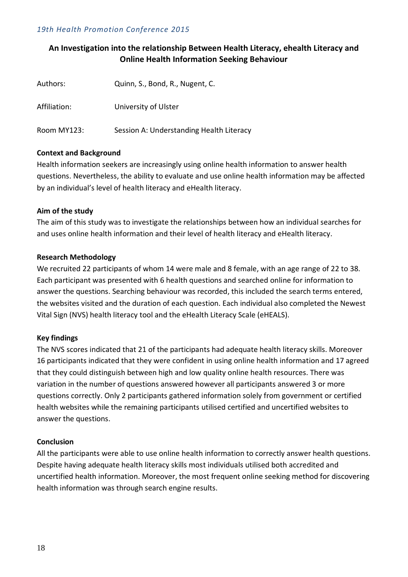#### **An Investigation into the relationship Between Health Literacy, ehealth Literacy and Online Health Information Seeking Behaviour**

| Authors:     | Quinn, S., Bond, R., Nugent, C.          |
|--------------|------------------------------------------|
| Affiliation: | University of Ulster                     |
| Room MY123:  | Session A: Understanding Health Literacy |

#### **Context and Background**

Health information seekers are increasingly using online health information to answer health questions. Nevertheless, the ability to evaluate and use online health information may be affected by an individual's level of health literacy and eHealth literacy.

#### **Aim of the study**

The aim of this study was to investigate the relationships between how an individual searches for and uses online health information and their level of health literacy and eHealth literacy.

#### **Research Methodology**

We recruited 22 participants of whom 14 were male and 8 female, with an age range of 22 to 38. Each participant was presented with 6 health questions and searched online for information to answer the questions. Searching behaviour was recorded, this included the search terms entered, the websites visited and the duration of each question. Each individual also completed the Newest Vital Sign (NVS) health literacy tool and the eHealth Literacy Scale (eHEALS).

#### **Key findings**

The NVS scores indicated that 21 of the participants had adequate health literacy skills. Moreover 16 participants indicated that they were confident in using online health information and 17 agreed that they could distinguish between high and low quality online health resources. There was variation in the number of questions answered however all participants answered 3 or more questions correctly. Only 2 participants gathered information solely from government or certified health websites while the remaining participants utilised certified and uncertified websites to answer the questions.

#### **Conclusion**

All the participants were able to use online health information to correctly answer health questions. Despite having adequate health literacy skills most individuals utilised both accredited and uncertified health information. Moreover, the most frequent online seeking method for discovering health information was through search engine results.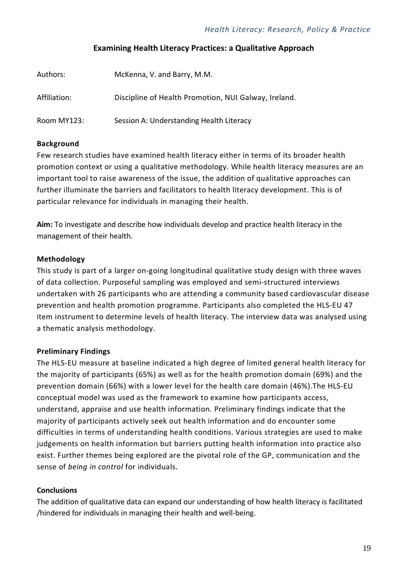#### **Examining Health Literacy Practices: a Qualitative Approach**

| Authors:     | McKenna, V. and Barry, M.M.                          |
|--------------|------------------------------------------------------|
| Affiliation: | Discipline of Health Promotion, NUI Galway, Ireland. |
| Room MY123:  | Session A: Understanding Health Literacy             |

#### **Background**

Few research studies have examined health literacy either in terms of its broader health promotion context or using a qualitative methodology. While health literacy measures are an important tool to raise awareness of the issue, the addition of qualitative approaches can further illuminate the barriers and facilitators to health literacy development. This is of particular relevance for individuals in managing their health.

**Aim:** To investigate and describe how individuals develop and practice health literacy in the management of their health.

#### **Methodology**

This study is part of a larger on-going longitudinal qualitative study design with three waves of data collection. Purposeful sampling was employed and semi-structured interviews undertaken with 26 participants who are attending a community based cardiovascular disease prevention and health promotion programme. Participants also completed the HLS-EU 47 item instrument to determine levels of health literacy. The interview data was analysed using a thematic analysis methodology.

#### **Preliminary Findings**

The HLS-EU measure at baseline indicated a high degree of limited general health literacy for the majority of participants (65%) as well as for the health promotion domain (69%) and the prevention domain (66%) with a lower level for the health care domain (46%).The HLS-EU conceptual model was used as the framework to examine how participants access, understand, appraise and use health information. Preliminary findings indicate that the majority of participants actively seek out health information and do encounter some difficulties in terms of understanding health conditions. Various strategies are used to make judgements on health information but barriers putting health information into practice also exist. Further themes being explored are the pivotal role of the GP, communication and the sense of *being in control* for individuals.

#### **Conclusions**

The addition of qualitative data can expand our understanding of how health literacy is facilitated /hindered for individuals in managing their health and well-being.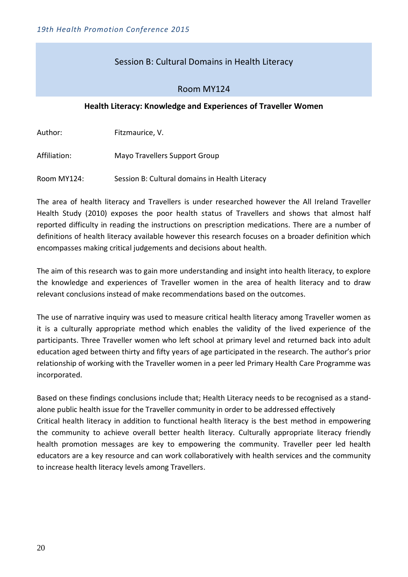#### Session B: Cultural Domains in Health Literacy

#### Room MY124

#### **Health Literacy: Knowledge and Experiences of Traveller Women**

Author: Fitzmaurice, V.

Affiliation: Mayo Travellers Support Group

Room MY124: Session B: Cultural domains in Health Literacy

The area of health literacy and Travellers is under researched however the All Ireland Traveller Health Study (2010) exposes the poor health status of Travellers and shows that almost half reported difficulty in reading the instructions on prescription medications. There are a number of definitions of health literacy available however this research focuses on a broader definition which encompasses making critical judgements and decisions about health.

The aim of this research was to gain more understanding and insight into health literacy, to explore the knowledge and experiences of Traveller women in the area of health literacy and to draw relevant conclusions instead of make recommendations based on the outcomes.

The use of narrative inquiry was used to measure critical health literacy among Traveller women as it is a culturally appropriate method which enables the validity of the lived experience of the participants. Three Traveller women who left school at primary level and returned back into adult education aged between thirty and fifty years of age participated in the research. The author's prior relationship of working with the Traveller women in a peer led Primary Health Care Programme was incorporated.

Based on these findings conclusions include that; Health Literacy needs to be recognised as a standalone public health issue for the Traveller community in order to be addressed effectively Critical health literacy in addition to functional health literacy is the best method in empowering the community to achieve overall better health literacy. Culturally appropriate literacy friendly health promotion messages are key to empowering the community. Traveller peer led health educators are a key resource and can work collaboratively with health services and the community to increase health literacy levels among Travellers.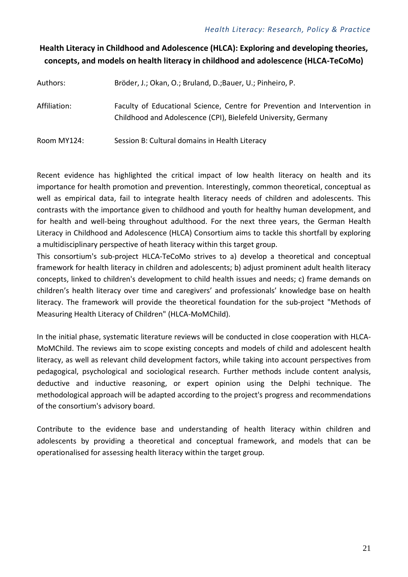# **Health Literacy in Childhood and Adolescence (HLCA): Exploring and developing theories, concepts, and models on health literacy in childhood and adolescence (HLCA-TeCoMo)**

Authors: Bröder, J.; Okan, O.; Bruland, D.;Bauer, U.; Pinheiro, P.

Affiliation: Faculty of Educational Science, Centre for Prevention and Intervention in Childhood and Adolescence (CPI), Bielefeld University, Germany

Room MY124: Session B: Cultural domains in Health Literacy

Recent evidence has highlighted the critical impact of low health literacy on health and its importance for health promotion and prevention. Interestingly, common theoretical, conceptual as well as empirical data, fail to integrate health literacy needs of children and adolescents. This contrasts with the importance given to childhood and youth for healthy human development, and for health and well-being throughout adulthood. For the next three years, the German Health Literacy in Childhood and Adolescence (HLCA) Consortium aims to tackle this shortfall by exploring a multidisciplinary perspective of heath literacy within this target group.

This consortium's sub-project HLCA-TeCoMo strives to a) develop a theoretical and conceptual framework for health literacy in children and adolescents; b) adjust prominent adult health literacy concepts, linked to children's development to child health issues and needs; c) frame demands on children's health literacy over time and caregivers' and professionals' knowledge base on health literacy. The framework will provide the theoretical foundation for the sub-project "Methods of Measuring Health Literacy of Children" (HLCA-MoMChild).

In the initial phase, systematic literature reviews will be conducted in close cooperation with HLCA-MoMChild. The reviews aim to scope existing concepts and models of child and adolescent health literacy, as well as relevant child development factors, while taking into account perspectives from pedagogical, psychological and sociological research. Further methods include content analysis, deductive and inductive reasoning, or expert opinion using the Delphi technique. The methodological approach will be adapted according to the project's progress and recommendations of the consortium's advisory board.

Contribute to the evidence base and understanding of health literacy within children and adolescents by providing a theoretical and conceptual framework, and models that can be operationalised for assessing health literacy within the target group.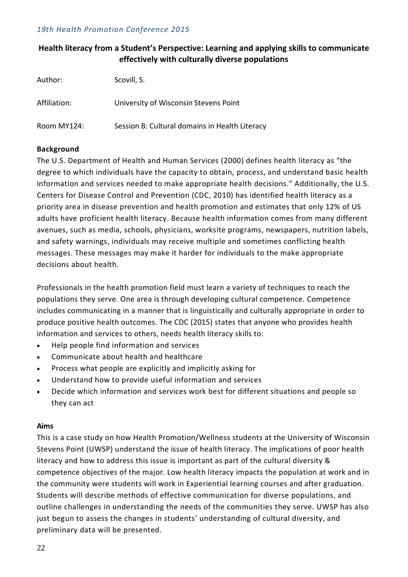#### **Health literacy from a Student's Perspective: Learning and applying skills to communicate effectively with culturally diverse populations**

| Author:      | Scovill, S.                                    |
|--------------|------------------------------------------------|
| Affiliation: | University of Wisconsin Stevens Point          |
| Room MY124:  | Session B: Cultural domains in Health Literacy |

#### **Background**

The U.S. Department of Health and Human Services (2000) defines health literacy as "the degree to which individuals have the capacity to obtain, process, and understand basic health information and services needed to make appropriate health decisions." Additionally, the U.S. Centers for Disease Control and Prevention (CDC, 2010) has identified health literacy as a priority area in disease prevention and health promotion and estimates that only 12% of US adults have proficient health literacy. Because health information comes from many different avenues, such as media, schools, physicians, worksite programs, newspapers, nutrition labels, and safety warnings, individuals may receive multiple and sometimes conflicting health messages. These messages may make it harder for individuals to the make appropriate decisions about health.

Professionals in the health promotion field must learn a variety of techniques to reach the populations they serve. One area is through developing cultural competence. Competence includes communicating in a manner that is linguistically and culturally appropriate in order to produce positive health outcomes. The CDC (2015) states that anyone who provides health information and services to others, needs health literacy skills to:

- Help people find information and services
- Communicate about health and healthcare
- Process what people are explicitly and implicitly asking for
- Understand how to provide useful information and services
- Decide which information and services work best for different situations and people so they can act

#### **Aims**

This is a case study on how Health Promotion/Wellness students at the University of Wisconsin Stevens Point (UWSP) understand the issue of health literacy. The implications of poor health literacy and how to address this issue is important as part of the cultural diversity & competence objectives of the major. Low health literacy impacts the population at work and in the community were students will work in Experiential learning courses and after graduation. Students will describe methods of effective communication for diverse populations, and outline challenges in understanding the needs of the communities they serve. UWSP has also just begun to assess the changes in students' understanding of cultural diversity, and preliminary data will be presented.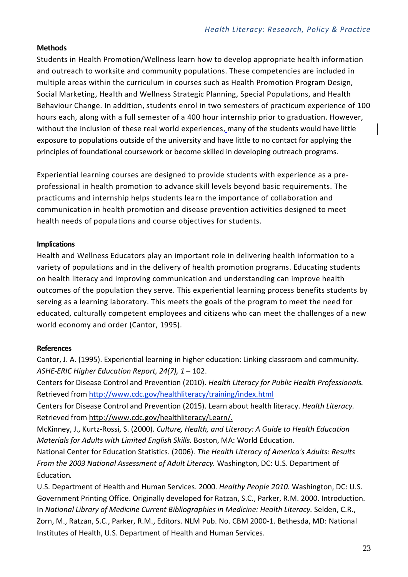#### **Methods**

Students in Health Promotion/Wellness learn how to develop appropriate health information and outreach to worksite and community populations. These competencies are included in multiple areas within the curriculum in courses such as Health Promotion Program Design, Social Marketing, Health and Wellness Strategic Planning, Special Populations, and Health Behaviour Change. In addition, students enrol in two semesters of practicum experience of 100 hours each, along with a full semester of a 400 hour internship prior to graduation. However, without the inclusion of these real world experiences, many of the students would have little exposure to populations outside of the university and have little to no contact for applying the principles of foundational coursework or become skilled in developing outreach programs.

Experiential learning courses are designed to provide students with experience as a preprofessional in health promotion to advance skill levels beyond basic requirements. The practicums and internship helps students learn the importance of collaboration and communication in health promotion and disease prevention activities designed to meet health needs of populations and course objectives for students.

#### **Implications**

Health and Wellness Educators play an important role in delivering health information to a variety of populations and in the delivery of health promotion programs. Educating students on health literacy and improving communication and understanding can improve health outcomes of the population they serve. This experiential learning process benefits students by serving as a learning laboratory. This meets the goals of the program to meet the need for educated, culturally competent employees and citizens who can meet the challenges of a new world economy and order (Cantor, 1995).

#### **References**

Cantor, J. A. (1995). Experiential learning in higher education: Linking classroom and community. *ASHE-ERIC Higher Education Report, 24(7), 1* – 102.

Centers for Disease Control and Prevention (2010). *Health Literacy for Public Health Professionals.*  Retrieved from<http://www.cdc.gov/healthliteracy/training/index.html>

Centers for Disease Control and Prevention (2015). Learn about health literacy. *Health Literacy.*  Retrieved from [http://www.cdc.gov/healthliteracy/Learn/.](http://www.cdc.gov/healthliteracy/Learn/)

McKinney, J., Kurtz-Rossi, S. (2000). *Culture, Health, and Literacy: A Guide to Health Education Materials for Adults with Limited English Skills.* Boston, MA: World Education.

National Center for Education Statistics. (2006). *The Health Literacy of America's Adults: Results From the 2003 National Assessment of Adult Literacy.* Washington, DC: U.S. Department of Education*.*

U.S. Department of Health and Human Services. 2000. *Healthy People 2010.* Washington, DC: U.S. Government Printing Office. Originally developed for Ratzan, S.C., Parker, R.M. 2000. Introduction. In *National Library of Medicine Current Bibliographies in Medicine: Health Literacy.* Selden, C.R., Zorn, M., Ratzan, S.C., Parker, R.M., Editors. NLM Pub. No. CBM 2000-1. Bethesda, MD: National Institutes of Health, U.S. Department of Health and Human Services.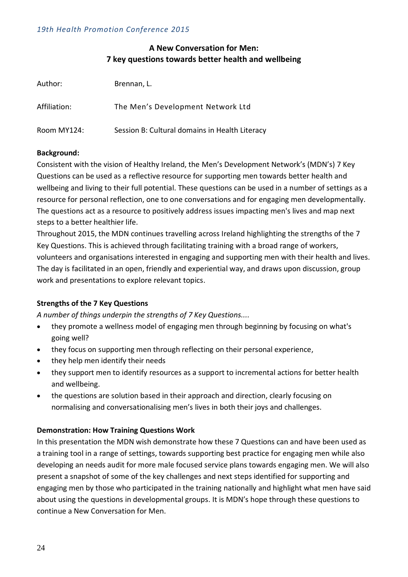#### **A New Conversation for Men: 7 key questions towards better health and wellbeing**

| Author:      | Brennan, L.                                    |
|--------------|------------------------------------------------|
| Affiliation: | The Men's Development Network Ltd              |
| Room MY124:  | Session B: Cultural domains in Health Literacy |

#### **Background:**

Consistent with the vision of Healthy Ireland, the Men's Development Network's (MDN's) 7 Key Questions can be used as a reflective resource for supporting men towards better health and wellbeing and living to their full potential. These questions can be used in a number of settings as a resource for personal reflection, one to one conversations and for engaging men developmentally. The questions act as a resource to positively address issues impacting men's lives and map next steps to a better healthier life.

Throughout 2015, the MDN continues travelling across Ireland highlighting the strengths of the 7 Key Questions. This is achieved through facilitating training with a broad range of workers, volunteers and organisations interested in engaging and supporting men with their health and lives. The day is facilitated in an open, friendly and experiential way, and draws upon discussion, group work and presentations to explore relevant topics.

#### **Strengths of the 7 Key Questions**

*A number of things underpin the strengths of 7 Key Questions....*

- they promote a wellness model of engaging men through beginning by focusing on what's going well?
- they focus on supporting men through reflecting on their personal experience,
- they help men identify their needs
- they support men to identify resources as a support to incremental actions for better health and wellbeing.
- the questions are solution based in their approach and direction, clearly focusing on normalising and conversationalising men's lives in both their joys and challenges.

#### **Demonstration: How Training Questions Work**

In this presentation the MDN wish demonstrate how these 7 Questions can and have been used as a training tool in a range of settings, towards supporting best practice for engaging men while also developing an needs audit for more male focused service plans towards engaging men. We will also present a snapshot of some of the key challenges and next steps identified for supporting and engaging men by those who participated in the training nationally and highlight what men have said about using the questions in developmental groups. It is MDN's hope through these questions to continue a New Conversation for Men.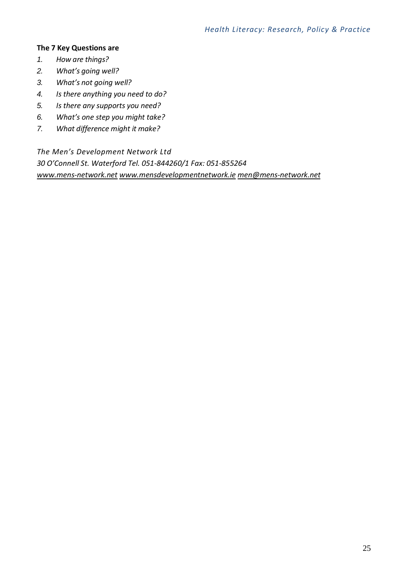#### **The 7 Key Questions are**

- *1. How are things?*
- *2. What's going well?*
- *3. What's not going well?*
- *4. Is there anything you need to do?*
- *5. Is there any supports you need?*
- *6. What's one step you might take?*
- *7. What difference might it make?*

*The Men's Development Network Ltd 30 O'Connell St. Waterford Tel. 051-844260/1 Fax: 051-855264 [www.mens-network.net](http://www.mens-network.net/) [www.mensdevelopmentnetwork.ie](http://www.mensdevelopmentnetwork.ie/) [men@mens-network.net](mailto:men@mens-network.net)*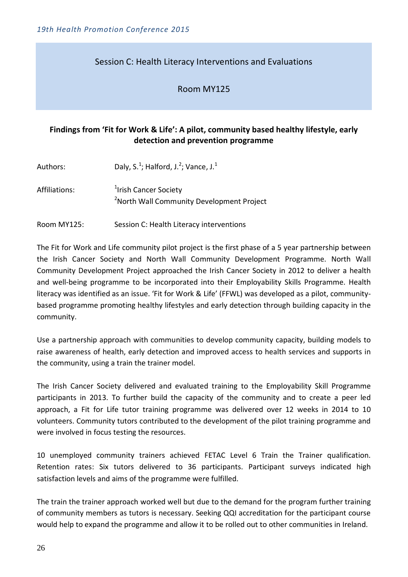#### Session C: Health Literacy Interventions and Evaluations

#### Room MY125

#### **Findings from 'Fit for Work & Life': A pilot, community based healthy lifestyle, early detection and prevention programme**

| Authors:      | Daly, S. <sup>1</sup> ; Halford, J. <sup>2</sup> ; Vance, J. <sup>1</sup>                  |
|---------------|--------------------------------------------------------------------------------------------|
| Affiliations: | <sup>1</sup> Irish Cancer Society<br><sup>2</sup> North Wall Community Development Project |
| Room MY125:   | Session C: Health Literacy interventions                                                   |

The Fit for Work and Life community pilot project is the first phase of a 5 year partnership between the Irish Cancer Society and North Wall Community Development Programme. North Wall Community Development Project approached the Irish Cancer Society in 2012 to deliver a health and well-being programme to be incorporated into their Employability Skills Programme. Health literacy was identified as an issue. 'Fit for Work & Life' (FFWL) was developed as a pilot, communitybased programme promoting healthy lifestyles and early detection through building capacity in the community.

Use a partnership approach with communities to develop community capacity, building models to raise awareness of health, early detection and improved access to health services and supports in the community, using a train the trainer model.

The Irish Cancer Society delivered and evaluated training to the Employability Skill Programme participants in 2013. To further build the capacity of the community and to create a peer led approach, a Fit for Life tutor training programme was delivered over 12 weeks in 2014 to 10 volunteers. Community tutors contributed to the development of the pilot training programme and were involved in focus testing the resources.

10 unemployed community trainers achieved FETAC Level 6 Train the Trainer qualification. Retention rates: Six tutors delivered to 36 participants. Participant surveys indicated high satisfaction levels and aims of the programme were fulfilled.

The train the trainer approach worked well but due to the demand for the program further training of community members as tutors is necessary. Seeking QQI accreditation for the participant course would help to expand the programme and allow it to be rolled out to other communities in Ireland.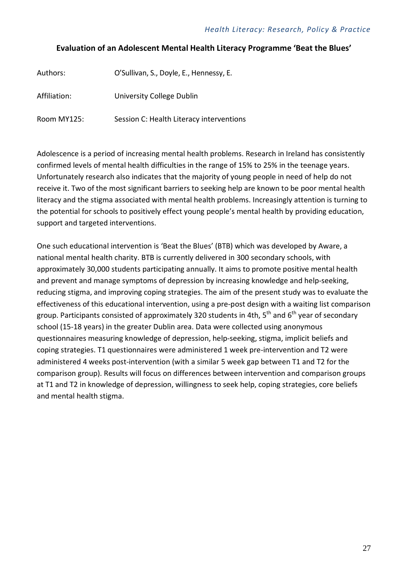#### **Evaluation of an Adolescent Mental Health Literacy Programme 'Beat the Blues'**

| Authors:     | O'Sullivan, S., Doyle, E., Hennessy, E.  |
|--------------|------------------------------------------|
| Affiliation: | University College Dublin                |
| Room MY125:  | Session C: Health Literacy interventions |

Adolescence is a period of increasing mental health problems. Research in Ireland has consistently confirmed levels of mental health difficulties in the range of 15% to 25% in the teenage years. Unfortunately research also indicates that the majority of young people in need of help do not receive it. Two of the most significant barriers to seeking help are known to be poor mental health literacy and the stigma associated with mental health problems. Increasingly attention is turning to the potential for schools to positively effect young people's mental health by providing education, support and targeted interventions.

One such educational intervention is 'Beat the Blues' (BTB) which was developed by Aware, a national mental health charity. BTB is currently delivered in 300 secondary schools, with approximately 30,000 students participating annually. It aims to promote positive mental health and prevent and manage symptoms of depression by increasing knowledge and help-seeking, reducing stigma, and improving coping strategies. The aim of the present study was to evaluate the effectiveness of this educational intervention, using a pre-post design with a waiting list comparison group. Participants consisted of approximately 320 students in 4th,  $5<sup>th</sup>$  and  $6<sup>th</sup>$  year of secondary school (15-18 years) in the greater Dublin area. Data were collected using anonymous questionnaires measuring knowledge of depression, help-seeking, stigma, implicit beliefs and coping strategies. T1 questionnaires were administered 1 week pre-intervention and T2 were administered 4 weeks post-intervention (with a similar 5 week gap between T1 and T2 for the comparison group). Results will focus on differences between intervention and comparison groups at T1 and T2 in knowledge of depression, willingness to seek help, coping strategies, core beliefs and mental health stigma.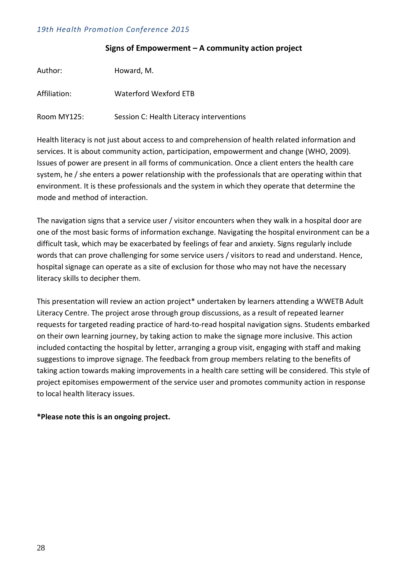#### **Signs of Empowerment – A community action project**

| Author:      | Howard, M.                               |
|--------------|------------------------------------------|
| Affiliation: | Waterford Wexford ETB                    |
| Room MY125:  | Session C: Health Literacy interventions |

Health literacy is not just about access to and comprehension of health related information and services. It is about community action, participation, empowerment and change (WHO, 2009). Issues of power are present in all forms of communication. Once a client enters the health care system, he / she enters a power relationship with the professionals that are operating within that environment. It is these professionals and the system in which they operate that determine the mode and method of interaction.

The navigation signs that a service user / visitor encounters when they walk in a hospital door are one of the most basic forms of information exchange. Navigating the hospital environment can be a difficult task, which may be exacerbated by feelings of fear and anxiety. Signs regularly include words that can prove challenging for some service users / visitors to read and understand. Hence, hospital signage can operate as a site of exclusion for those who may not have the necessary literacy skills to decipher them.

This presentation will review an action project\* undertaken by learners attending a WWETB Adult Literacy Centre. The project arose through group discussions, as a result of repeated learner requests for targeted reading practice of hard-to-read hospital navigation signs. Students embarked on their own learning journey, by taking action to make the signage more inclusive. This action included contacting the hospital by letter, arranging a group visit, engaging with staff and making suggestions to improve signage. The feedback from group members relating to the benefits of taking action towards making improvements in a health care setting will be considered. This style of project epitomises empowerment of the service user and promotes community action in response to local health literacy issues.

#### **\*Please note this is an ongoing project.**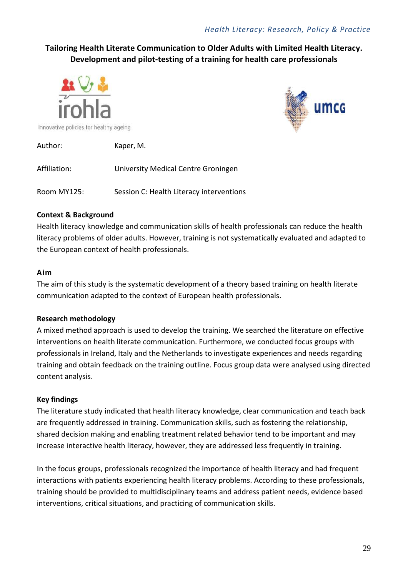## **Tailoring Health Literate Communication to Older Adults with Limited Health Literacy. Development and pilot-testing of a training for health care professionals**





Author: Kaper, M. Affiliation: University Medical Centre Groningen Room MY125: Session C: Health Literacy interventions

#### **Context & Background**

Health literacy knowledge and communication skills of health professionals can reduce the health literacy problems of older adults. However, training is not systematically evaluated and adapted to the European context of health professionals.

#### **Aim**

The aim of this study is the systematic development of a theory based training on health literate communication adapted to the context of European health professionals.

### **Research methodology**

A mixed method approach is used to develop the training. We searched the literature on effective interventions on health literate communication. Furthermore, we conducted focus groups with professionals in Ireland, Italy and the Netherlands to investigate experiences and needs regarding training and obtain feedback on the training outline. Focus group data were analysed using directed content analysis.

### **Key findings**

The literature study indicated that health literacy knowledge, clear communication and teach back are frequently addressed in training. Communication skills, such as fostering the relationship, shared decision making and enabling treatment related behavior tend to be important and may increase interactive health literacy, however, they are addressed less frequently in training.

In the focus groups, professionals recognized the importance of health literacy and had frequent interactions with patients experiencing health literacy problems. According to these professionals, training should be provided to multidisciplinary teams and address patient needs, evidence based interventions, critical situations, and practicing of communication skills.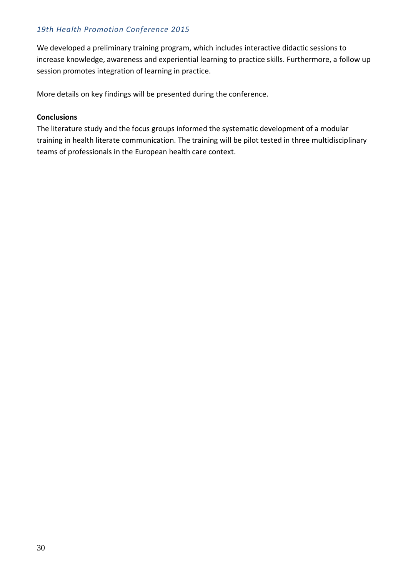We developed a preliminary training program, which includes interactive didactic sessions to increase knowledge, awareness and experiential learning to practice skills. Furthermore, a follow up session promotes integration of learning in practice.

More details on key findings will be presented during the conference.

#### **Conclusions**

The literature study and the focus groups informed the systematic development of a modular training in health literate communication. The training will be pilot tested in three multidisciplinary teams of professionals in the European health care context.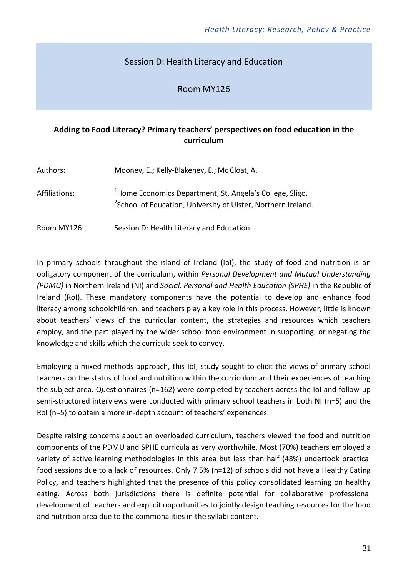### Session D: Health Literacy and Education

#### Room MY126

#### **Adding to Food Literacy? Primary teachers' perspectives on food education in the curriculum**

| Authors:      | Mooney, E.; Kelly-Blakeney, E.; Mc Cloat, A.                                                                                                      |
|---------------|---------------------------------------------------------------------------------------------------------------------------------------------------|
| Affiliations: | <sup>1</sup> Home Economics Department, St. Angela's College, Sligo.<br><sup>2</sup> School of Education, University of Ulster, Northern Ireland. |
| Room MY126:   | Session D: Health Literacy and Education                                                                                                          |

In primary schools throughout the island of Ireland (IoI), the study of food and nutrition is an obligatory component of the curriculum, within *Personal Development and Mutual Understanding (PDMU)* in Northern Ireland (NI) and *Social, Personal and Health Education (SPHE)* in the Republic of Ireland (RoI). These mandatory components have the potential to develop and enhance food literacy among schoolchildren, and teachers play a key role in this process. However, little is known about teachers' views of the curricular content, the strategies and resources which teachers employ, and the part played by the wider school food environment in supporting, or negating the knowledge and skills which the curricula seek to convey.

Employing a mixed methods approach, this IoI, study sought to elicit the views of primary school teachers on the status of food and nutrition within the curriculum and their experiences of teaching the subject area. Questionnaires (n=162) were completed by teachers across the IoI and follow-up semi-structured interviews were conducted with primary school teachers in both NI (n=5) and the RoI (n=5) to obtain a more in-depth account of teachers' experiences.

Despite raising concerns about an overloaded curriculum, teachers viewed the food and nutrition components of the PDMU and SPHE curricula as very worthwhile. Most (70%) teachers employed a variety of active learning methodologies in this area but less than half (48%) undertook practical food sessions due to a lack of resources. Only 7.5% (n=12) of schools did not have a Healthy Eating Policy, and teachers highlighted that the presence of this policy consolidated learning on healthy eating. Across both jurisdictions there is definite potential for collaborative professional development of teachers and explicit opportunities to jointly design teaching resources for the food and nutrition area due to the commonalities in the syllabi content.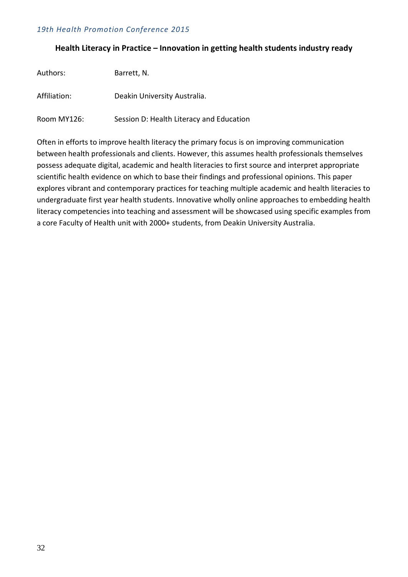#### **Health Literacy in Practice – Innovation in getting health students industry ready**

| Authors:     | Barrett, N.                              |
|--------------|------------------------------------------|
| Affiliation: | Deakin University Australia.             |
| Room MY126:  | Session D: Health Literacy and Education |

Often in efforts to improve health literacy the primary focus is on improving communication between health professionals and clients. However, this assumes health professionals themselves possess adequate digital, academic and health literacies to first source and interpret appropriate scientific health evidence on which to base their findings and professional opinions. This paper explores vibrant and contemporary practices for teaching multiple academic and health literacies to undergraduate first year health students. Innovative wholly online approaches to embedding health literacy competencies into teaching and assessment will be showcased using specific examples from a core Faculty of Health unit with 2000+ students, from Deakin University Australia.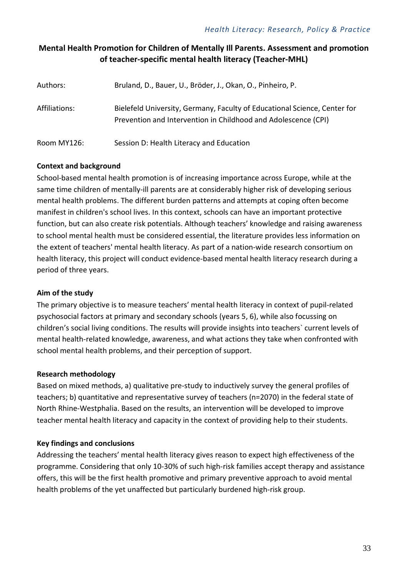#### **Mental Health Promotion for Children of Mentally Ill Parents. Assessment and promotion of teacher-specific mental health literacy (Teacher-MHL)**

| Authors:      | Bruland, D., Bauer, U., Bröder, J., Okan, O., Pinheiro, P.                                                                                  |
|---------------|---------------------------------------------------------------------------------------------------------------------------------------------|
| Affiliations: | Bielefeld University, Germany, Faculty of Educational Science, Center for<br>Prevention and Intervention in Childhood and Adolescence (CPI) |
| Room MY126:   | Session D: Health Literacy and Education                                                                                                    |

#### **Context and background**

School-based mental health promotion is of increasing importance across Europe, while at the same time children of mentally-ill parents are at considerably higher risk of developing serious mental health problems. The different burden patterns and attempts at coping often become manifest in children's school lives. In this context, schools can have an important protective function, but can also create risk potentials. Although teachers' knowledge and raising awareness to school mental health must be considered essential, the literature provides less information on the extent of teachers' mental health literacy. As part of a nation-wide research consortium on health literacy, this project will conduct evidence-based mental health literacy research during a period of three years.

#### **Aim of the study**

The primary objective is to measure teachers' mental health literacy in context of pupil-related psychosocial factors at primary and secondary schools (years 5, 6), while also focussing on children's social living conditions. The results will provide insights into teachers` current levels of mental health-related knowledge, awareness, and what actions they take when confronted with school mental health problems, and their perception of support.

#### **Research methodology**

Based on mixed methods, a) qualitative pre-study to inductively survey the general profiles of teachers; b) quantitative and representative survey of teachers (n=2070) in the federal state of North Rhine-Westphalia. Based on the results, an intervention will be developed to improve teacher mental health literacy and capacity in the context of providing help to their students.

#### **Key findings and conclusions**

Addressing the teachers' mental health literacy gives reason to expect high effectiveness of the programme. Considering that only 10-30% of such high-risk families accept therapy and assistance offers, this will be the first health promotive and primary preventive approach to avoid mental health problems of the yet unaffected but particularly burdened high-risk group.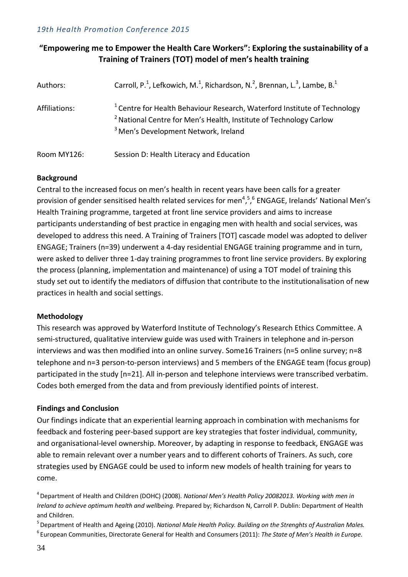#### **"Empowering me to Empower the Health Care Workers": Exploring the sustainability of a Training of Trainers (TOT) model of men's health training**

| Authors:      | Carroll, P. <sup>1</sup> , Lefkowich, M. <sup>1</sup> , Richardson, N. <sup>2</sup> , Brennan, L. <sup>3</sup> , Lambe, B. <sup>1</sup>                                                                                  |
|---------------|--------------------------------------------------------------------------------------------------------------------------------------------------------------------------------------------------------------------------|
| Affiliations: | <sup>1</sup> Centre for Health Behaviour Research, Waterford Institute of Technology<br><sup>2</sup> National Centre for Men's Health, Institute of Technology Carlow<br><sup>3</sup> Men's Development Network, Ireland |
| Room MY126:   | Session D: Health Literacy and Education                                                                                                                                                                                 |

#### **Background**

Central to the increased focus on men's health in recent years have been calls for a greater provision of gender sensitised health related services for men<sup>4,5,6</sup> ENGAGE, Irelands' National Men's Health Training programme, targeted at front line service providers and aims to increase participants understanding of best practice in engaging men with health and social services, was developed to address this need. A Training of Trainers [TOT] cascade model was adopted to deliver ENGAGE; Trainers (n=39) underwent a 4-day residential ENGAGE training programme and in turn, were asked to deliver three 1-day training programmes to front line service providers. By exploring the process (planning, implementation and maintenance) of using a TOT model of training this study set out to identify the mediators of diffusion that contribute to the institutionalisation of new practices in health and social settings.

#### **Methodology**

This research was approved by Waterford Institute of Technology's Research Ethics Committee. A semi-structured, qualitative interview guide was used with Trainers in telephone and in-person interviews and was then modified into an online survey. Some16 Trainers (n=5 online survey; n=8 telephone and n=3 person-to-person interviews) and 5 members of the ENGAGE team (focus group) participated in the study [n=21]. All in-person and telephone interviews were transcribed verbatim. Codes both emerged from the data and from previously identified points of interest.

#### **Findings and Conclusion**

Our findings indicate that an experiential learning approach in combination with mechanisms for feedback and fostering peer-based support are key strategies that foster individual, community, and organisational-level ownership. Moreover, by adapting in response to feedback, ENGAGE was able to remain relevant over a number years and to different cohorts of Trainers. As such, core strategies used by ENGAGE could be used to inform new models of health training for years to come.

5 Department of Health and Ageing (2010). *National Male Health Policy. Building on the Strenghts of Australian Males.* 6 European Communities, Directorate General for Health and Consumers (2011): *The State of Men's Health in Europe*.

<sup>4</sup> Department of Health and Children (DOHC) (2008). *National Men's Health Policy 20082013. Working with men in Ireland to achieve optimum health and wellbeing.* Prepared by; Richardson N, Carroll P. Dublin: Department of Health and Children.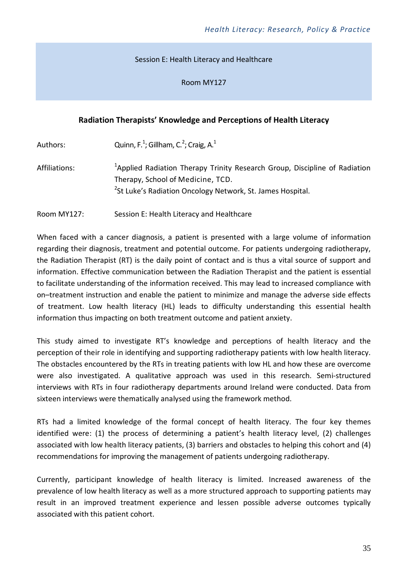#### Session E: Health Literacy and Healthcare

Room MY127

#### **Radiation Therapists' Knowledge and Perceptions of Health Literacy**

| Authors:      | Quinn, F. <sup>1</sup> ; Gillham, C. <sup>2</sup> ; Craig, A. <sup>1</sup>                                                                                                                            |
|---------------|-------------------------------------------------------------------------------------------------------------------------------------------------------------------------------------------------------|
| Affiliations: | <sup>1</sup> Applied Radiation Therapy Trinity Research Group, Discipline of Radiation<br>Therapy, School of Medicine, TCD.<br><sup>2</sup> St Luke's Radiation Oncology Network, St. James Hospital. |

Room MY127: Session E: Health Literacy and Healthcare

When faced with a cancer diagnosis, a patient is presented with a large volume of information regarding their diagnosis, treatment and potential outcome. For patients undergoing radiotherapy, the Radiation Therapist (RT) is the daily point of contact and is thus a vital source of support and information. Effective communication between the Radiation Therapist and the patient is essential to facilitate understanding of the information received. This may lead to increased compliance with on–treatment instruction and enable the patient to minimize and manage the adverse side effects of treatment. Low health literacy (HL) leads to difficulty understanding this essential health information thus impacting on both treatment outcome and patient anxiety.

This study aimed to investigate RT's knowledge and perceptions of health literacy and the perception of their role in identifying and supporting radiotherapy patients with low health literacy. The obstacles encountered by the RTs in treating patients with low HL and how these are overcome were also investigated. A qualitative approach was used in this research. Semi-structured interviews with RTs in four radiotherapy departments around Ireland were conducted. Data from sixteen interviews were thematically analysed using the framework method.

RTs had a limited knowledge of the formal concept of health literacy. The four key themes identified were: (1) the process of determining a patient's health literacy level, (2) challenges associated with low health literacy patients, (3) barriers and obstacles to helping this cohort and (4) recommendations for improving the management of patients undergoing radiotherapy.

Currently, participant knowledge of health literacy is limited. Increased awareness of the prevalence of low health literacy as well as a more structured approach to supporting patients may result in an improved treatment experience and lessen possible adverse outcomes typically associated with this patient cohort.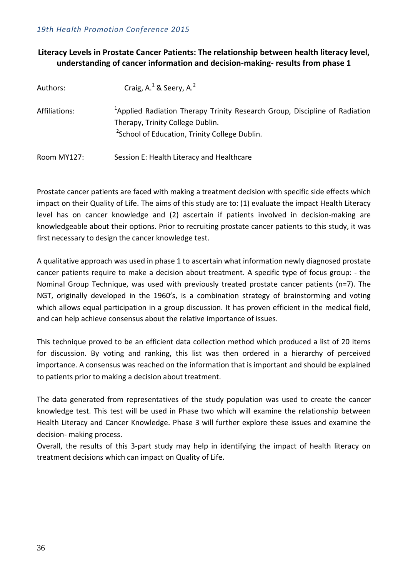#### **Literacy Levels in Prostate Cancer Patients: The relationship between health literacy level, understanding of cancer information and decision-making- results from phase 1**

| Authors:      | Craig, $A1$ & Seery, $A2$                                                                                                  |
|---------------|----------------------------------------------------------------------------------------------------------------------------|
| Affiliations: | <sup>1</sup> Applied Radiation Therapy Trinity Research Group, Discipline of Radiation<br>Therapy, Trinity College Dublin. |
|               | <sup>2</sup> School of Education, Trinity College Dublin.                                                                  |
| Room MY127:   | Session E: Health Literacy and Healthcare                                                                                  |

Prostate cancer patients are faced with making a treatment decision with specific side effects which impact on their Quality of Life. The aims of this study are to: (1) evaluate the impact Health Literacy level has on cancer knowledge and (2) ascertain if patients involved in decision-making are knowledgeable about their options. Prior to recruiting prostate cancer patients to this study, it was first necessary to design the cancer knowledge test.

A qualitative approach was used in phase 1 to ascertain what information newly diagnosed prostate cancer patients require to make a decision about treatment. A specific type of focus group: - the Nominal Group Technique, was used with previously treated prostate cancer patients (n=7). The NGT, originally developed in the 1960's, is a combination strategy of brainstorming and voting which allows equal participation in a group discussion. It has proven efficient in the medical field, and can help achieve consensus about the relative importance of issues.

This technique proved to be an efficient data collection method which produced a list of 20 items for discussion. By voting and ranking, this list was then ordered in a hierarchy of perceived importance. A consensus was reached on the information that is important and should be explained to patients prior to making a decision about treatment.

The data generated from representatives of the study population was used to create the cancer knowledge test. This test will be used in Phase two which will examine the relationship between Health Literacy and Cancer Knowledge. Phase 3 will further explore these issues and examine the decision- making process.

Overall, the results of this 3-part study may help in identifying the impact of health literacy on treatment decisions which can impact on Quality of Life.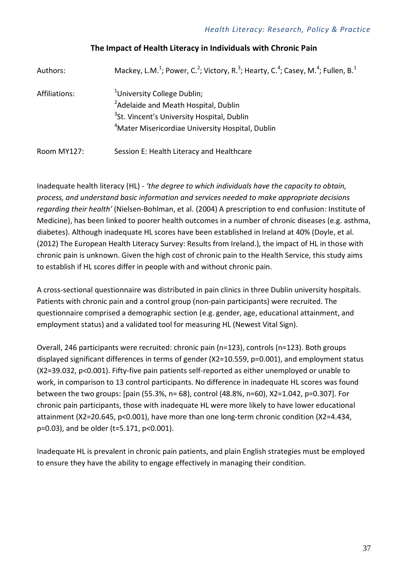| Authors:      | Mackey, L.M. <sup>1</sup> ; Power, C. <sup>2</sup> ; Victory, R. <sup>3</sup> ; Hearty, C. <sup>4</sup> ; Casey, M. <sup>4</sup> ; Fullen, B. <sup>1</sup> |
|---------------|------------------------------------------------------------------------------------------------------------------------------------------------------------|
| Affiliations: | <sup>1</sup> University College Dublin;                                                                                                                    |
|               | <sup>2</sup> Adelaide and Meath Hospital, Dublin                                                                                                           |
|               | <sup>3</sup> St. Vincent's University Hospital, Dublin                                                                                                     |
|               | <sup>4</sup> Mater Misericordiae University Hospital, Dublin                                                                                               |
| Room MY127:   | Session E: Health Literacy and Healthcare                                                                                                                  |

#### **The Impact of Health Literacy in Individuals with Chronic Pain**

Inadequate health literacy (HL) - *'the degree to which individuals have the capacity to obtain, process, and understand basic information and services needed to make appropriate decisions regarding their health'* (Nielsen-Bohlman, et al. (2004) A prescription to end confusion: Institute of Medicine), has been linked to poorer health outcomes in a number of chronic diseases (e.g. asthma, diabetes). Although inadequate HL scores have been established in Ireland at 40% (Doyle, et al. (2012) The European Health Literacy Survey: Results from Ireland.), the impact of HL in those with chronic pain is unknown. Given the high cost of chronic pain to the Health Service, this study aims to establish if HL scores differ in people with and without chronic pain.

A cross-sectional questionnaire was distributed in pain clinics in three Dublin university hospitals. Patients with chronic pain and a control group (non-pain participants) were recruited. The questionnaire comprised a demographic section (e.g. gender, age, educational attainment, and employment status) and a validated tool for measuring HL (Newest Vital Sign).

Overall, 246 participants were recruited: chronic pain (n=123), controls (n=123). Both groups displayed significant differences in terms of gender (X2=10.559, p=0.001), and employment status (X2=39.032, p<0.001). Fifty-five pain patients self-reported as either unemployed or unable to work, in comparison to 13 control participants. No difference in inadequate HL scores was found between the two groups: [pain (55.3%, n= 68), control (48.8%, n=60), X2=1.042, p=0.307]. For chronic pain participants, those with inadequate HL were more likely to have lower educational attainment (X2=20.645, p<0.001), have more than one long-term chronic condition (X2=4.434, p=0.03), and be older (t=5.171, p<0.001).

Inadequate HL is prevalent in chronic pain patients, and plain English strategies must be employed to ensure they have the ability to engage effectively in managing their condition.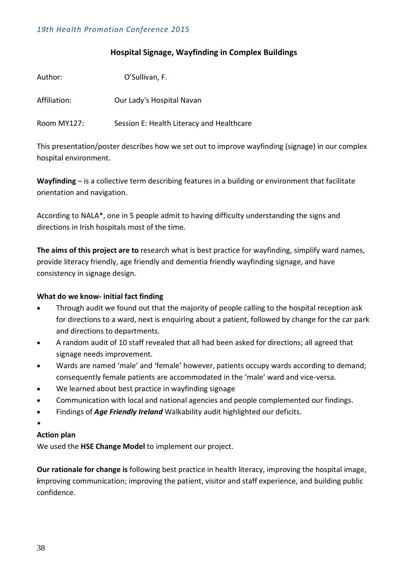#### **Hospital Signage, Wayfinding in Complex Buildings**

| Author:      | O'Sullivan, F.                            |
|--------------|-------------------------------------------|
| Affiliation: | Our Lady's Hospital Navan                 |
| Room MY127:  | Session E: Health Literacy and Healthcare |

This presentation/poster describes how we set out to improve wayfinding (signage) in our complex hospital environment.

**Wayfinding** – is a collective term describing features in a building or environment that facilitate orientation and navigation.

According to NALA\*, one in 5 people admit to having difficulty understanding the signs and directions in Irish hospitals most of the time.

**The aims of this project are to** research what is best practice for wayfinding, simplify ward names, provide literacy friendly, age friendly and dementia friendly wayfinding signage, and have consistency in signage design.

#### **What do we know- initial fact finding**

- Through audit we found out that the majority of people calling to the hospital reception ask for directions to a ward, next is enquiring about a patient, followed by change for the car park and directions to departments.
- A random audit of 10 staff revealed that all had been asked for directions; all agreed that signage needs improvement.
- Wards are named 'male' and 'female' however, patients occupy wards according to demand; consequently female patients are accommodated in the 'male' ward and vice-versa.
- We learned about best practice in wayfinding signage
- Communication with local and national agencies and people complemented our findings.
- Findings of *Age Friendly Ireland* Walkability audit highlighted our deficits.
- •

#### **Action plan**

We used the **HSE Change Model** to implement our project.

**Our rationale for change is** following best practice in health literacy, improving the hospital image, **i**mproving communication; improving the patient, visitor and staff experience, and building public confidence.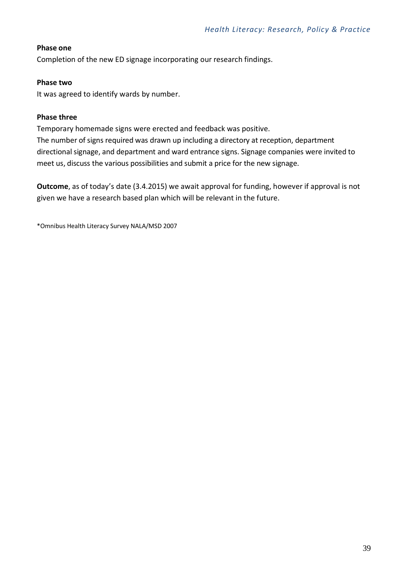#### **Phase one**

Completion of the new ED signage incorporating our research findings.

#### **Phase two**

It was agreed to identify wards by number.

#### **Phase three**

Temporary homemade signs were erected and feedback was positive. The number of signs required was drawn up including a directory at reception, department directional signage, and department and ward entrance signs. Signage companies were invited to meet us, discuss the various possibilities and submit a price for the new signage.

**Outcome**, as of today's date (3.4.2015) we await approval for funding, however if approval is not given we have a research based plan which will be relevant in the future.

\*Omnibus Health Literacy Survey NALA/MSD 2007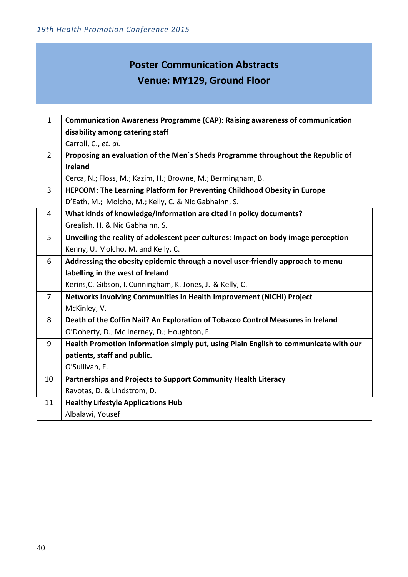# **Poster Communication Abstracts Venue: MY129, Ground Floor**

| 1              | <b>Communication Awareness Programme (CAP): Raising awareness of communication</b>   |  |  |
|----------------|--------------------------------------------------------------------------------------|--|--|
|                | disability among catering staff                                                      |  |  |
|                | Carroll, C., et. al.                                                                 |  |  |
| $\overline{2}$ | Proposing an evaluation of the Men's Sheds Programme throughout the Republic of      |  |  |
|                | <b>Ireland</b>                                                                       |  |  |
|                | Cerca, N.; Floss, M.; Kazim, H.; Browne, M.; Bermingham, B.                          |  |  |
| $\overline{3}$ | HEPCOM: The Learning Platform for Preventing Childhood Obesity in Europe             |  |  |
|                | D'Eath, M.; Molcho, M.; Kelly, C. & Nic Gabhainn, S.                                 |  |  |
| 4              | What kinds of knowledge/information are cited in policy documents?                   |  |  |
|                | Grealish, H. & Nic Gabhainn, S.                                                      |  |  |
| 5              | Unveiling the reality of adolescent peer cultures: Impact on body image perception   |  |  |
|                | Kenny, U. Molcho, M. and Kelly, C.                                                   |  |  |
| 6              | Addressing the obesity epidemic through a novel user-friendly approach to menu       |  |  |
|                | labelling in the west of Ireland                                                     |  |  |
|                | Kerins, C. Gibson, I. Cunningham, K. Jones, J. & Kelly, C.                           |  |  |
| $\overline{7}$ | Networks Involving Communities in Health Improvement (NICHI) Project                 |  |  |
|                | McKinley, V.                                                                         |  |  |
| 8              | Death of the Coffin Nail? An Exploration of Tobacco Control Measures in Ireland      |  |  |
|                | O'Doherty, D.; Mc Inerney, D.; Houghton, F.                                          |  |  |
| 9              | Health Promotion Information simply put, using Plain English to communicate with our |  |  |
|                | patients, staff and public.                                                          |  |  |
|                | O'Sullivan, F.                                                                       |  |  |
| 10             | Partnerships and Projects to Support Community Health Literacy                       |  |  |
|                | Ravotas, D. & Lindstrom, D.                                                          |  |  |
| 11             | <b>Healthy Lifestyle Applications Hub</b>                                            |  |  |
|                | Albalawi, Yousef                                                                     |  |  |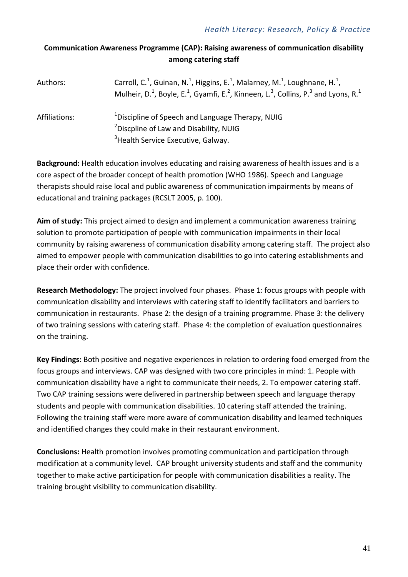### **Communication Awareness Programme (CAP): Raising awareness of communication disability among catering staff**

| Authors:      | Carroll, C. <sup>1</sup> , Guinan, N. <sup>1</sup> , Higgins, E. <sup>1</sup> , Malarney, M. <sup>1</sup> , Loughnane, H. <sup>1</sup> ,<br>Mulheir, D. <sup>1</sup> , Boyle, E. <sup>1</sup> , Gyamfi, E. <sup>2</sup> , Kinneen, L. <sup>3</sup> , Collins, P. <sup>3</sup> and Lyons, R. <sup>1</sup> |
|---------------|----------------------------------------------------------------------------------------------------------------------------------------------------------------------------------------------------------------------------------------------------------------------------------------------------------|
| Affiliations: | <sup>1</sup> Discipline of Speech and Language Therapy, NUIG<br><sup>2</sup> Discpline of Law and Disability, NUIG<br><sup>3</sup> Health Service Executive, Galway.                                                                                                                                     |

**Background:** Health education involves educating and raising awareness of health issues and is a core aspect of the broader concept of health promotion (WHO 1986). Speech and Language therapists should raise local and public awareness of communication impairments by means of educational and training packages (RCSLT 2005, p. 100).

**Aim of study:** This project aimed to design and implement a communication awareness training solution to promote participation of people with communication impairments in their local community by raising awareness of communication disability among catering staff. The project also aimed to empower people with communication disabilities to go into catering establishments and place their order with confidence.

**Research Methodology:** The project involved four phases. Phase 1: focus groups with people with communication disability and interviews with catering staff to identify facilitators and barriers to communication in restaurants. Phase 2: the design of a training programme. Phase 3: the delivery of two training sessions with catering staff. Phase 4: the completion of evaluation questionnaires on the training.

**Key Findings:** Both positive and negative experiences in relation to ordering food emerged from the focus groups and interviews. CAP was designed with two core principles in mind: 1. People with communication disability have a right to communicate their needs, 2. To empower catering staff. Two CAP training sessions were delivered in partnership between speech and language therapy students and people with communication disabilities. 10 catering staff attended the training. Following the training staff were more aware of communication disability and learned techniques and identified changes they could make in their restaurant environment.

**Conclusions:** Health promotion involves promoting communication and participation through modification at a community level. CAP brought university students and staff and the community together to make active participation for people with communication disabilities a reality. The training brought visibility to communication disability.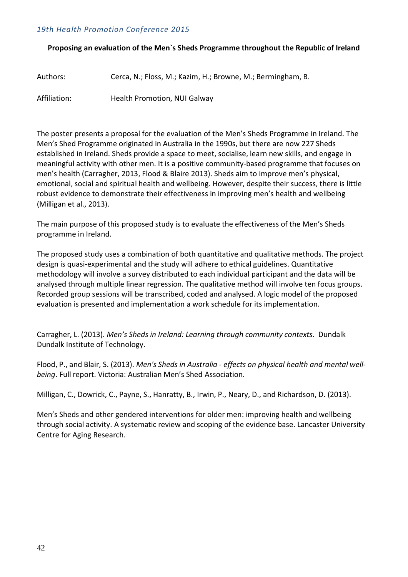#### **Proposing an evaluation of the Men`s Sheds Programme throughout the Republic of Ireland**

| Authors:     | Cerca, N.; Floss, M.; Kazim, H.; Browne, M.; Bermingham, B. |
|--------------|-------------------------------------------------------------|
| Affiliation: | <b>Health Promotion, NUI Galway</b>                         |

The poster presents a proposal for the evaluation of the Men's Sheds Programme in Ireland. The Men's Shed Programme originated in Australia in the 1990s, but there are now 227 Sheds established in Ireland. Sheds provide a space to meet, socialise, learn new skills, and engage in meaningful activity with other men. It is a positive community-based programme that focuses on men's health (Carragher, 2013, Flood & Blaire 2013). Sheds aim to improve men's physical, emotional, social and spiritual health and wellbeing. However, despite their success, there is little robust evidence to demonstrate their effectiveness in improving men's health and wellbeing (Milligan et al., 2013).

The main purpose of this proposed study is to evaluate the effectiveness of the Men's Sheds programme in Ireland.

The proposed study uses a combination of both quantitative and qualitative methods. The project design is quasi-experimental and the study will adhere to ethical guidelines. Quantitative methodology will involve a survey distributed to each individual participant and the data will be analysed through multiple linear regression. The qualitative method will involve ten focus groups. Recorded group sessions will be transcribed, coded and analysed. A logic model of the proposed evaluation is presented and implementation a work schedule for its implementation.

Carragher, L. (2013). *Men's Sheds in Ireland: Learning through community contexts*. Dundalk Dundalk Institute of Technology.

Flood, P., and Blair, S. (2013). *Men's Sheds in Australia - effects on physical health and mental wellbeing*. Full report. Victoria: Australian Men's Shed Association.

Milligan, C., Dowrick, C., Payne, S., Hanratty, B., Irwin, P., Neary, D., and Richardson, D. (2013).

Men's Sheds and other gendered interventions for older men: improving health and wellbeing through social activity. A systematic review and scoping of the evidence base. Lancaster University Centre for Aging Research.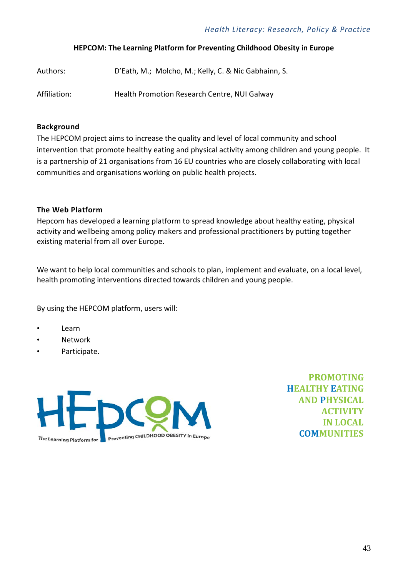#### **HEPCOM: The Learning Platform for Preventing Childhood Obesity in Europe**

| Authors:     | D'Eath, M.; Molcho, M.; Kelly, C. & Nic Gabhainn, S. |
|--------------|------------------------------------------------------|
| Affiliation: | Health Promotion Research Centre, NUI Galway         |

#### **Background**

The HEPCOM project aims to increase the quality and level of local community and school intervention that promote healthy eating and physical activity among children and young people. It is a partnership of 21 organisations from 16 EU countries who are closely collaborating with local communities and organisations working on public health projects.

#### **The Web Platform**

Hepcom has developed a learning platform to spread knowledge about healthy eating, physical activity and wellbeing among policy makers and professional practitioners by putting together existing material from all over Europe.

We want to help local communities and schools to plan, implement and evaluate, on a local level, health promoting interventions directed towards children and young people.

By using the HEPCOM platform, users will:

- Learn
- Network
- Participate.



**PROMOTING HEALTHY EATING AND PHYSICAL ACTIVITY IN LOCAL COMMUNITIES**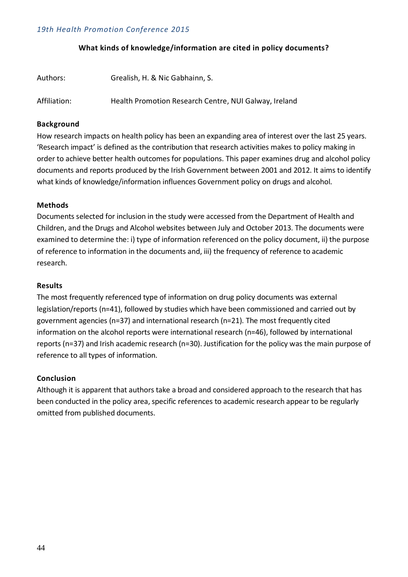#### **What kinds of knowledge/information are cited in policy documents?**

| Authors:     | Grealish, H. & Nic Gabhainn, S.                       |
|--------------|-------------------------------------------------------|
| Affiliation: | Health Promotion Research Centre, NUI Galway, Ireland |

#### **Background**

How research impacts on health policy has been an expanding area of interest over the last 25 years. 'Research impact' is defined as the contribution that research activities makes to policy making in order to achieve better health outcomes for populations. This paper examines drug and alcohol policy documents and reports produced by the Irish Government between 2001 and 2012. It aims to identify what kinds of knowledge/information influences Government policy on drugs and alcohol.

#### **Methods**

Documents selected for inclusion in the study were accessed from the Department of Health and Children, and the Drugs and Alcohol websites between July and October 2013. The documents were examined to determine the: i) type of information referenced on the policy document, ii) the purpose of reference to information in the documents and, iii) the frequency of reference to academic research.

#### **Results**

The most frequently referenced type of information on drug policy documents was external legislation/reports (n=41), followed by studies which have been commissioned and carried out by government agencies (n=37) and international research (n=21). The most frequently cited information on the alcohol reports were international research (n=46), followed by international reports (n=37) and Irish academic research (n=30). Justification for the policy was the main purpose of reference to all types of information.

#### **Conclusion**

Although it is apparent that authors take a broad and considered approach to the research that has been conducted in the policy area, specific references to academic research appear to be regularly omitted from published documents.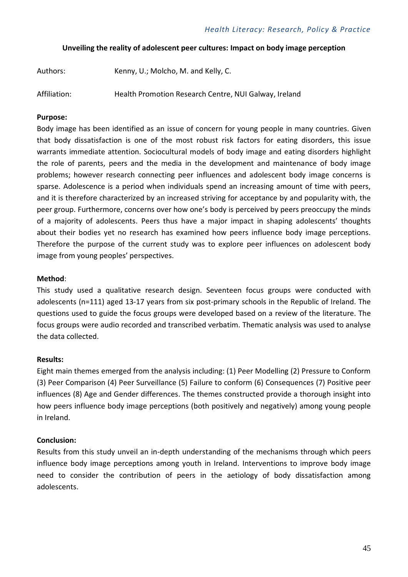#### **Unveiling the reality of adolescent peer cultures: Impact on body image perception**

| Authors: | Kenny, U.; Molcho, M. and Kelly, C. |  |
|----------|-------------------------------------|--|
|          |                                     |  |

Affiliation: Health Promotion Research Centre, NUI Galway, Ireland

#### **Purpose:**

Body image has been identified as an issue of concern for young people in many countries. Given that body dissatisfaction is one of the most robust risk factors for eating disorders, this issue warrants immediate attention. Sociocultural models of body image and eating disorders highlight the role of parents, peers and the media in the development and maintenance of body image problems; however research connecting peer influences and adolescent body image concerns is sparse. Adolescence is a period when individuals spend an increasing amount of time with peers, and it is therefore characterized by an increased striving for acceptance by and popularity with, the peer group. Furthermore, concerns over how one's body is perceived by peers preoccupy the minds of a majority of adolescents. Peers thus have a major impact in shaping adolescents' thoughts about their bodies yet no research has examined how peers influence body image perceptions. Therefore the purpose of the current study was to explore peer influences on adolescent body image from young peoples' perspectives.

#### **Method**:

This study used a qualitative research design. Seventeen focus groups were conducted with adolescents (n=111) aged 13-17 years from six post-primary schools in the Republic of Ireland. The questions used to guide the focus groups were developed based on a review of the literature. The focus groups were audio recorded and transcribed verbatim. Thematic analysis was used to analyse the data collected.

#### **Results:**

Eight main themes emerged from the analysis including: (1) Peer Modelling (2) Pressure to Conform (3) Peer Comparison (4) Peer Surveillance (5) Failure to conform (6) Consequences (7) Positive peer influences (8) Age and Gender differences. The themes constructed provide a thorough insight into how peers influence body image perceptions (both positively and negatively) among young people in Ireland.

#### **Conclusion:**

Results from this study unveil an in-depth understanding of the mechanisms through which peers influence body image perceptions among youth in Ireland. Interventions to improve body image need to consider the contribution of peers in the aetiology of body dissatisfaction among adolescents.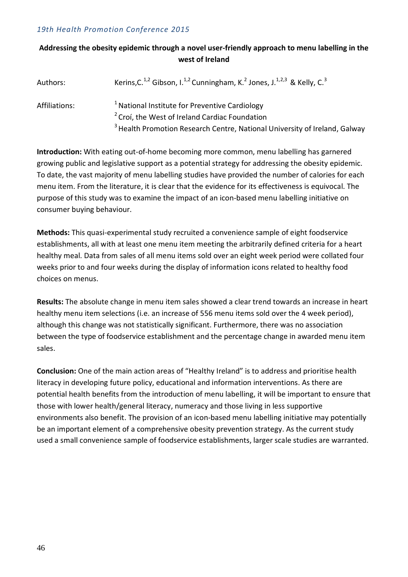#### **Addressing the obesity epidemic through a novel user-friendly approach to menu labelling in the west of Ireland**

| Authors:      | Kerins, C. <sup>1,2</sup> Gibson, I. <sup>1,2</sup> Cunningham, K. <sup>2</sup> Jones, J. <sup>1,2,3</sup> & Kelly, C. <sup>3</sup> |
|---------------|-------------------------------------------------------------------------------------------------------------------------------------|
| Affiliations: | <sup>1</sup> National Institute for Preventive Cardiology                                                                           |
|               | <sup>2</sup> Croi, the West of Ireland Cardiac Foundation                                                                           |
|               | <sup>3</sup> Health Promotion Research Centre, National University of Ireland, Galway                                               |

**Introduction:** With eating out-of-home becoming more common, menu labelling has garnered growing public and legislative support as a potential strategy for addressing the obesity epidemic. To date, the vast majority of menu labelling studies have provided the number of calories for each menu item. From the literature, it is clear that the evidence for its effectiveness is equivocal. The purpose of this study was to examine the impact of an icon-based menu labelling initiative on consumer buying behaviour.

**Methods:** This quasi-experimental study recruited a convenience sample of eight foodservice establishments, all with at least one menu item meeting the arbitrarily defined criteria for a heart healthy meal. Data from sales of all menu items sold over an eight week period were collated four weeks prior to and four weeks during the display of information icons related to healthy food choices on menus.

**Results:** The absolute change in menu item sales showed a clear trend towards an increase in heart healthy menu item selections (i.e. an increase of 556 menu items sold over the 4 week period), although this change was not statistically significant. Furthermore, there was no association between the type of foodservice establishment and the percentage change in awarded menu item sales.

**Conclusion:** One of the main action areas of "Healthy Ireland" is to address and prioritise health literacy in developing future policy, educational and information interventions. As there are potential health benefits from the introduction of menu labelling, it will be important to ensure that those with lower health/general literacy, numeracy and those living in less supportive environments also benefit. The provision of an icon-based menu labelling initiative may potentially be an important element of a comprehensive obesity prevention strategy. As the current study used a small convenience sample of foodservice establishments, larger scale studies are warranted.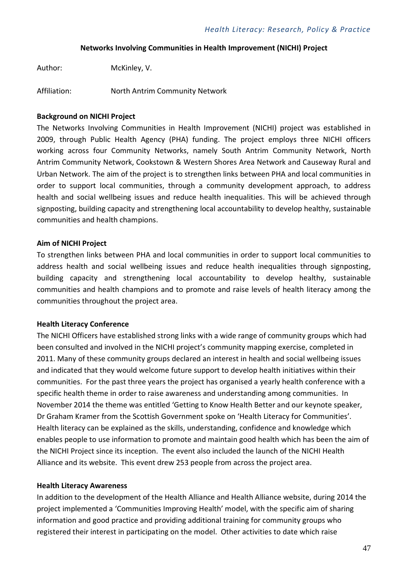#### **Networks Involving Communities in Health Improvement (NICHI) Project**

Author: McKinley, V.

Affiliation: North Antrim Community Network

#### **Background on NICHI Project**

The Networks Involving Communities in Health Improvement (NICHI) project was established in 2009, through Public Health Agency (PHA) funding. The project employs three NICHI officers working across four Community Networks, namely South Antrim Community Network, North Antrim Community Network, Cookstown & Western Shores Area Network and Causeway Rural and Urban Network. The aim of the project is to strengthen links between PHA and local communities in order to support local communities, through a community development approach, to address health and social wellbeing issues and reduce health inequalities. This will be achieved through signposting, building capacity and strengthening local accountability to develop healthy, sustainable communities and health champions.

#### **Aim of NICHI Project**

To strengthen links between PHA and local communities in order to support local communities to address health and social wellbeing issues and reduce health inequalities through signposting, building capacity and strengthening local accountability to develop healthy, sustainable communities and health champions and to promote and raise levels of health literacy among the communities throughout the project area.

#### **Health Literacy Conference**

The NICHI Officers have established strong links with a wide range of community groups which had been consulted and involved in the NICHI project's community mapping exercise, completed in 2011. Many of these community groups declared an interest in health and social wellbeing issues and indicated that they would welcome future support to develop health initiatives within their communities. For the past three years the project has organised a yearly health conference with a specific health theme in order to raise awareness and understanding among communities. In November 2014 the theme was entitled 'Getting to Know Health Better and our keynote speaker, Dr Graham Kramer from the Scottish Government spoke on 'Health Literacy for Communities'. Health literacy can be explained as the skills, understanding, confidence and knowledge which enables people to use information to promote and maintain good health which has been the aim of the NICHI Project since its inception. The event also included the launch of the NICHI Health Alliance and its website. This event drew 253 people from across the project area.

#### **Health Literacy Awareness**

In addition to the development of the Health Alliance and Health Alliance website, during 2014 the project implemented a 'Communities Improving Health' model, with the specific aim of sharing information and good practice and providing additional training for community groups who registered their interest in participating on the model. Other activities to date which raise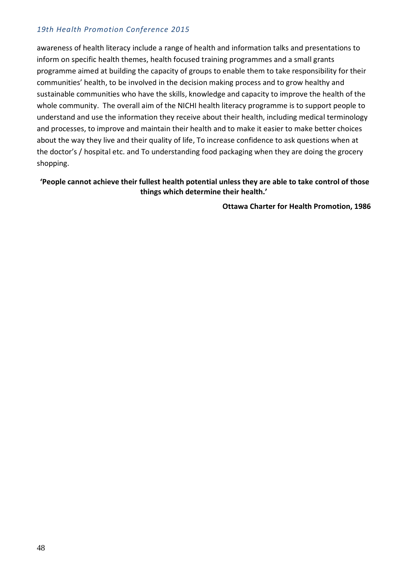awareness of health literacy include a range of health and information talks and presentations to inform on specific health themes, health focused training programmes and a small grants programme aimed at building the capacity of groups to enable them to take responsibility for their communities' health, to be involved in the decision making process and to grow healthy and sustainable communities who have the skills, knowledge and capacity to improve the health of the whole community. The overall aim of the NICHI health literacy programme is to support people to understand and use the information they receive about their health, including medical terminology and processes, to improve and maintain their health and to make it easier to make better choices about the way they live and their quality of life, To increase confidence to ask questions when at the doctor's / hospital etc. and To understanding food packaging when they are doing the grocery shopping.

#### **'People cannot achieve their fullest health potential unless they are able to take control of those things which determine their health.'**

 **Ottawa Charter for Health Promotion, 1986**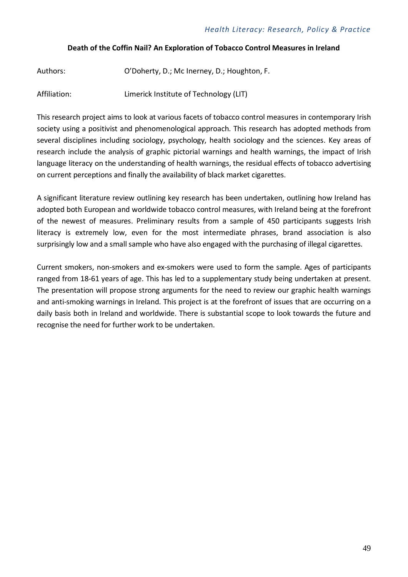#### **Death of the Coffin Nail? An Exploration of Tobacco Control Measures in Ireland**

| Authors: | O'Doherty, D.; Mc Inerney, D.; Houghton, F. |
|----------|---------------------------------------------|
|          |                                             |

Affiliation: Limerick Institute of Technology (LIT)

This research project aims to look at various facets of tobacco control measures in contemporary Irish society using a positivist and phenomenological approach. This research has adopted methods from several disciplines including sociology, psychology, health sociology and the sciences. Key areas of research include the analysis of graphic pictorial warnings and health warnings, the impact of Irish language literacy on the understanding of health warnings, the residual effects of tobacco advertising on current perceptions and finally the availability of black market cigarettes.

A significant literature review outlining key research has been undertaken, outlining how Ireland has adopted both European and worldwide tobacco control measures, with Ireland being at the forefront of the newest of measures. Preliminary results from a sample of 450 participants suggests Irish literacy is extremely low, even for the most intermediate phrases, brand association is also surprisingly low and a small sample who have also engaged with the purchasing of illegal cigarettes.

Current smokers, non-smokers and ex-smokers were used to form the sample. Ages of participants ranged from 18-61 years of age. This has led to a supplementary study being undertaken at present. The presentation will propose strong arguments for the need to review our graphic health warnings and anti-smoking warnings in Ireland. This project is at the forefront of issues that are occurring on a daily basis both in Ireland and worldwide. There is substantial scope to look towards the future and recognise the need for further work to be undertaken.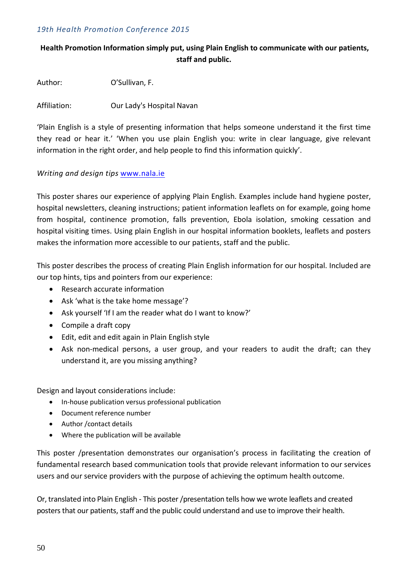#### **Health Promotion Information simply put, using Plain English to communicate with our patients, staff and public.**

Author: O'Sullivan, F.

Affiliation: Our Lady's Hospital Navan

'Plain English is a style of presenting information that helps someone understand it the first time they read or hear it.' 'When you use plain English you: write in clear language, give relevant information in the right order, and help people to find this information quickly'.

#### *Writing and design tips* [www.nala.ie](http://www.nala.ie/)

This poster shares our experience of applying Plain English. Examples include hand hygiene poster, hospital newsletters, cleaning instructions; patient information leaflets on for example, going home from hospital, continence promotion, falls prevention, Ebola isolation, smoking cessation and hospital visiting times. Using plain English in our hospital information booklets, leaflets and posters makes the information more accessible to our patients, staff and the public.

This poster describes the process of creating Plain English information for our hospital. Included are our top hints, tips and pointers from our experience:

- Research accurate information
- Ask 'what is the take home message'?
- Ask yourself 'If I am the reader what do I want to know?'
- Compile a draft copy
- Edit, edit and edit again in Plain English style
- Ask non-medical persons, a user group, and your readers to audit the draft; can they understand it, are you missing anything?

Design and layout considerations include:

- In-house publication versus professional publication
- Document reference number
- Author /contact details
- Where the publication will be available

This poster /presentation demonstrates our organisation's process in facilitating the creation of fundamental research based communication tools that provide relevant information to our services users and our service providers with the purpose of achieving the optimum health outcome.

Or, translated into Plain English - This poster /presentation tells how we wrote leaflets and created posters that our patients, staff and the public could understand and use to improve their health.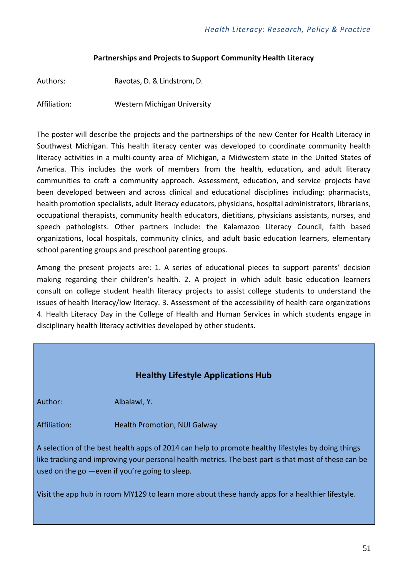#### **Partnerships and Projects to Support Community Health Literacy**

Authors: Ravotas, D. & Lindstrom, D.

Affiliation: Western Michigan University

The poster will describe the projects and the partnerships of the new Center for Health Literacy in Southwest Michigan. This health literacy center was developed to coordinate community health literacy activities in a multi-county area of Michigan, a Midwestern state in the United States of America. This includes the work of members from the health, education, and adult literacy communities to craft a community approach. Assessment, education, and service projects have been developed between and across clinical and educational disciplines including: pharmacists, health promotion specialists, adult literacy educators, physicians, hospital administrators, librarians, occupational therapists, community health educators, dietitians, physicians assistants, nurses, and speech pathologists. Other partners include: the Kalamazoo Literacy Council, faith based organizations, local hospitals, community clinics, and adult basic education learners, elementary school parenting groups and preschool parenting groups.

Among the present projects are: 1. A series of educational pieces to support parents' decision making regarding their children's health. 2. A project in which adult basic education learners consult on college student health literacy projects to assist college students to understand the issues of health literacy/low literacy. 3. Assessment of the accessibility of health care organizations 4. Health Literacy Day in the College of Health and Human Services in which students engage in disciplinary health literacy activities developed by other students.

### **Healthy Lifestyle Applications Hub**

Author: Albalawi, Y.

Affiliation: Health Promotion, NUI Galway

A selection of the best health apps of 2014 can help to promote healthy lifestyles by doing things like tracking and improving your personal health metrics. The best part is that most of these can be used on the go —even if you're going to sleep.

Visit the app hub in room MY129 to learn more about these handy apps for a healthier lifestyle.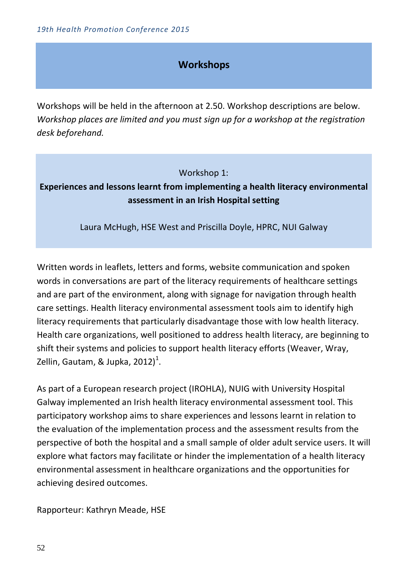# **Workshops**

Workshops will be held in the afternoon at 2.50. Workshop descriptions are below. *Workshop places are limited and you must sign up for a workshop at the registration desk beforehand.*

Workshop 1:

# **Experiences and lessons learnt from implementing a health literacy environmental assessment in an Irish Hospital setting**

Laura McHugh, HSE West and Priscilla Doyle, HPRC, NUI Galway

Written words in leaflets, letters and forms, website communication and spoken words in conversations are part of the literacy requirements of healthcare settings and are part of the environment, along with signage for navigation through health care settings. Health literacy environmental assessment tools aim to identify high literacy requirements that particularly disadvantage those with low health literacy. Health care organizations, well positioned to address health literacy, are beginning to shift their systems and policies to support health literacy efforts (Weaver, Wray, Zellin, Gautam, & Jupka, 2012)<sup>1</sup>.

As part of a European research project (IROHLA), NUIG with University Hospital Galway implemented an Irish health literacy environmental assessment tool. This participatory workshop aims to share experiences and lessons learnt in relation to the evaluation of the implementation process and the assessment results from the perspective of both the hospital and a small sample of older adult service users. It will explore what factors may facilitate or hinder the implementation of a health literacy environmental assessment in healthcare organizations and the opportunities for achieving desired outcomes.

Rapporteur: Kathryn Meade, HSE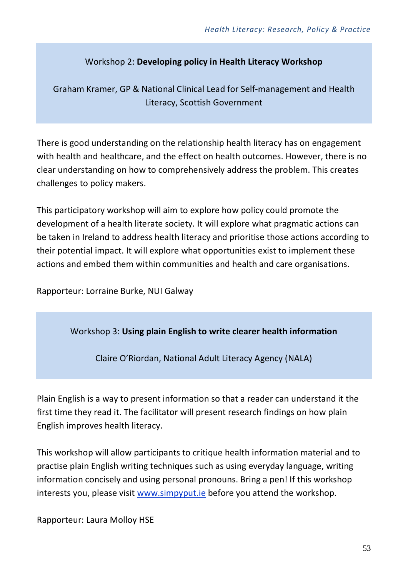# Workshop 2: **Developing policy in Health Literacy Workshop**

Graham Kramer, GP & National Clinical Lead for Self-management and Health Literacy, Scottish Government

There is good understanding on the relationship health literacy has on engagement with health and healthcare, and the effect on health outcomes. However, there is no clear understanding on how to comprehensively address the problem. This creates challenges to policy makers.

This participatory workshop will aim to explore how policy could promote the development of a health literate society. It will explore what pragmatic actions can be taken in Ireland to address health literacy and prioritise those actions according to their potential impact. It will explore what opportunities exist to implement these actions and embed them within communities and health and care organisations.

Rapporteur: Lorraine Burke, NUI Galway

Workshop 3: **Using plain English to write clearer health information**

Claire O'Riordan, National Adult Literacy Agency (NALA)

Plain English is a way to present information so that a reader can understand it the first time they read it. The facilitator will present research findings on how plain English improves health literacy.

This workshop will allow participants to critique health information material and to practise plain English writing techniques such as using everyday language, writing information concisely and using personal pronouns. Bring a pen! If this workshop interests you, please visit [www.simpyput.ie](http://www.simpyput.ie/) before you attend the workshop.

Rapporteur: Laura Molloy HSE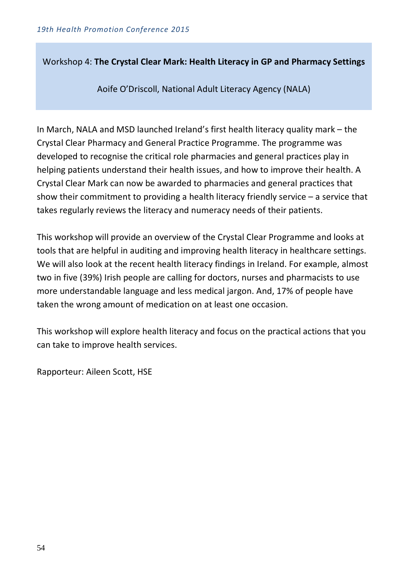Workshop 4: **The Crystal Clear Mark: Health Literacy in GP and Pharmacy Settings**

Aoife O'Driscoll, National Adult Literacy Agency (NALA)

In March, NALA and MSD launched Ireland's first health literacy quality mark – the Crystal Clear Pharmacy and General Practice Programme. The programme was developed to recognise the critical role pharmacies and general practices play in helping patients understand their health issues, and how to improve their health. A Crystal Clear Mark can now be awarded to pharmacies and general practices that show their commitment to providing a health literacy friendly service – a service that takes regularly reviews the literacy and numeracy needs of their patients.

This workshop will provide an overview of the Crystal Clear Programme and looks at tools that are helpful in auditing and improving health literacy in healthcare settings. We will also look at the recent health literacy findings in Ireland. For example, almost two in five (39%) Irish people are calling for doctors, nurses and pharmacists to use more understandable language and less medical jargon. And, 17% of people have taken the wrong amount of medication on at least one occasion.

This workshop will explore health literacy and focus on the practical actions that you can take to improve health services.

Rapporteur: Aileen Scott, HSE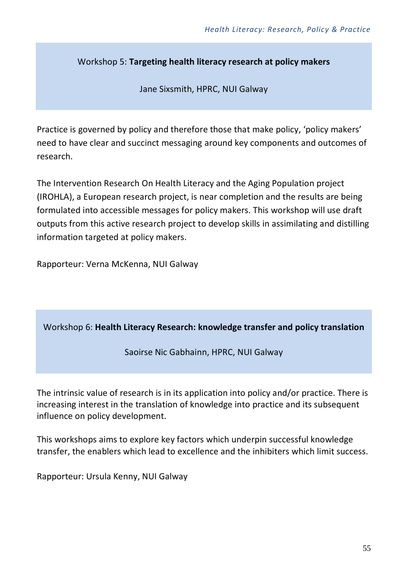Workshop 5: **Targeting health literacy research at policy makers**

Jane Sixsmith, HPRC, NUI Galway

Practice is governed by policy and therefore those that make policy, 'policy makers' need to have clear and succinct messaging around key components and outcomes of research.

The Intervention Research On Health Literacy and the Aging Population project (IROHLA), a European research project, is near completion and the results are being formulated into accessible messages for policy makers. This workshop will use draft outputs from this active research project to develop skills in assimilating and distilling information targeted at policy makers.

Rapporteur: Verna McKenna, NUI Galway

# Workshop 6: **Health Literacy Research: knowledge transfer and policy translation**

Saoirse Nic Gabhainn, HPRC, NUI Galway

The intrinsic value of research is in its application into policy and/or practice. There is increasing interest in the translation of knowledge into practice and its subsequent influence on policy development.

This workshops aims to explore key factors which underpin successful knowledge transfer, the enablers which lead to excellence and the inhibiters which limit success.

Rapporteur: Ursula Kenny, NUI Galway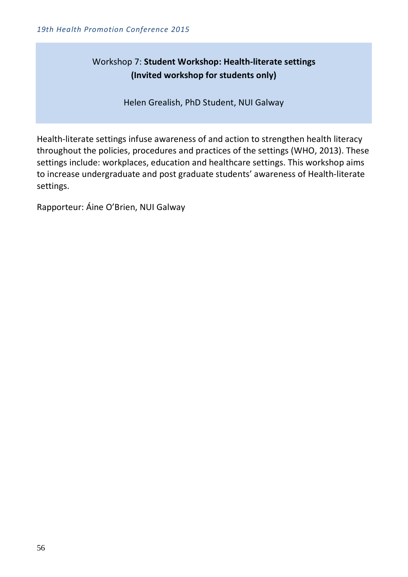# Workshop 7: **Student Workshop: Health-literate settings (Invited workshop for students only)**

Helen Grealish, PhD Student, NUI Galway

Health-literate settings infuse awareness of and action to strengthen health literacy throughout the policies, procedures and practices of the settings (WHO, 2013). These settings include: workplaces, education and healthcare settings. This workshop aims to increase undergraduate and post graduate students' awareness of Health-literate settings.

Rapporteur: Áine O'Brien, NUI Galway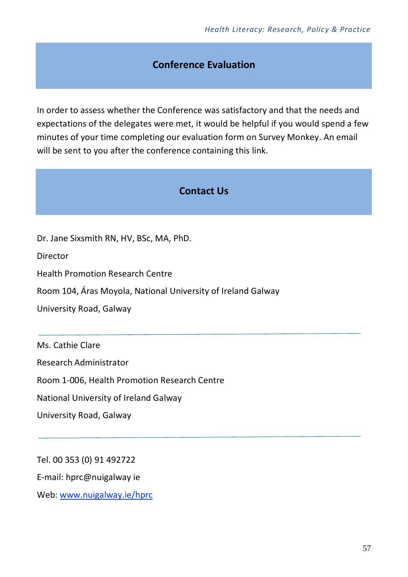# **Conference Evaluation**

In order to assess whether the Conference was satisfactory and that the needs and expectations of the delegates were met, it would be helpful if you would spend a few minutes of your time completing our evaluation form on Survey Monkey. An email will be sent to you after the conference containing this link.

# **Contact Us**

Dr. Jane Sixsmith RN, HV, BSc, MA, PhD.

**Director** 

Health Promotion Research Centre

Room 104, Áras Moyola, National University of Ireland Galway

University Road, Galway

Ms. Cathie Clare

Research Administrator

Room 1-006, Health Promotion Research Centre

National University of Ireland Galway

University Road, Galway

Tel. 00 353 (0) 91 492722 E-mail: [hprc@nuigalway ie](mailto:hprc@nuigalway.ie) Web: [www.nuigalway.ie/hprc](http://www.nuigalway.ie/hprc)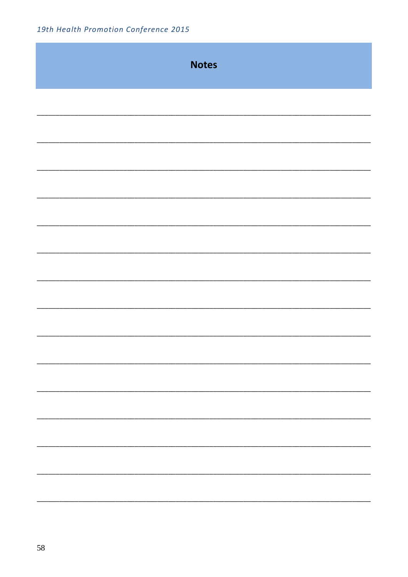| <b>Notes</b> |
|--------------|
|              |
|              |
|              |
|              |
|              |
|              |
|              |
|              |
|              |
|              |
|              |
|              |
|              |
|              |
|              |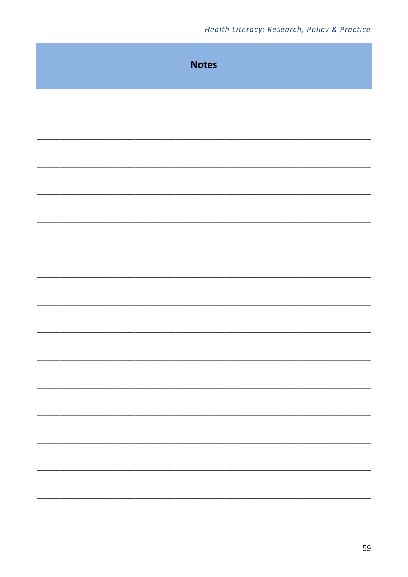|  | <b>Notes</b> |  |
|--|--------------|--|
|  |              |  |
|  |              |  |
|  |              |  |
|  |              |  |
|  |              |  |
|  |              |  |
|  |              |  |
|  |              |  |
|  |              |  |
|  |              |  |
|  |              |  |
|  |              |  |
|  |              |  |
|  |              |  |
|  |              |  |
|  |              |  |